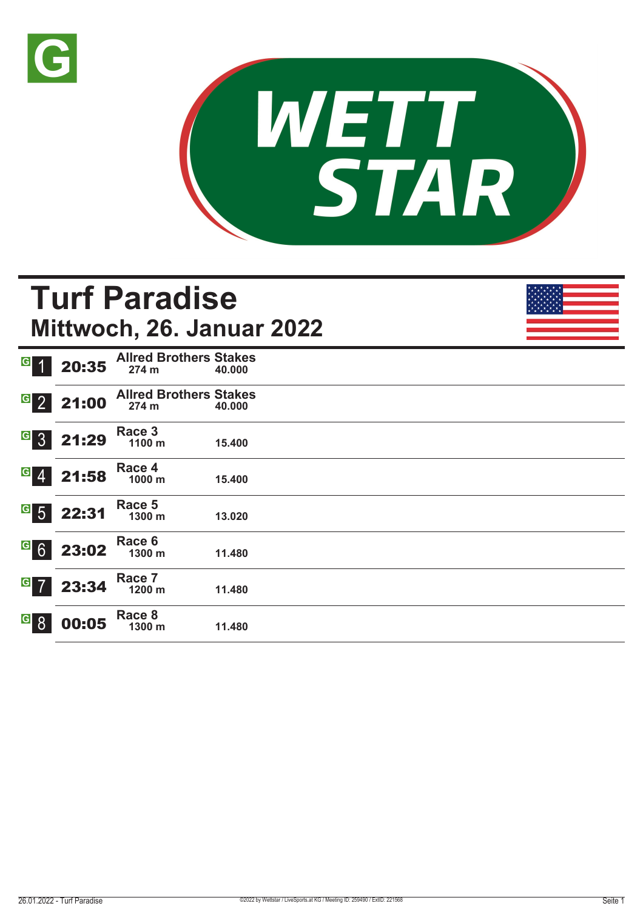



# **Turf Paradise Mittwoch, 26. Januar 2022**

|                  | 20:35 | <b>Allred Brothers Stakes</b><br>274 m | 40.000 |
|------------------|-------|----------------------------------------|--------|
| 2                | 21:00 | <b>Allred Brothers Stakes</b><br>274 m | 40,000 |
| 3                | 21:29 | Race 3<br>1100 m                       | 15.400 |
| $\overline{4}$   | 21:58 | Race 4<br>1000 m                       | 15.400 |
| $5\overline{)}$  | 22:31 | Race 5<br>1300 m                       | 13.020 |
| $6 \overline{6}$ | 23:02 | Race 6<br>1300 m                       | 11.480 |
| $\overline{7}$   | 23:34 | Race 7<br>1200 m                       | 11.480 |
| 8                | 00:05 | Race 8<br>1300 m                       | 11.480 |
|                  |       |                                        |        |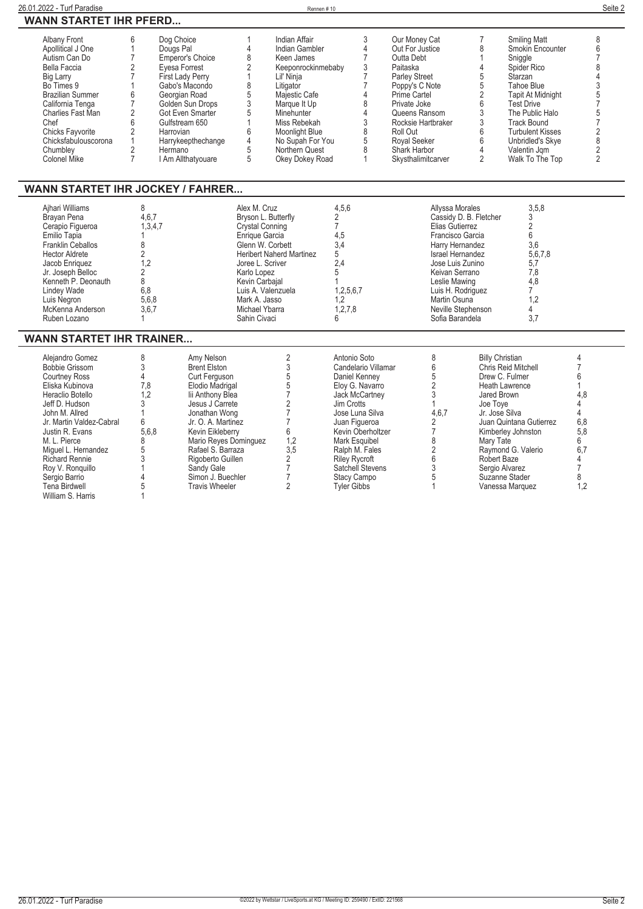| 26.01.2022 - Turf Paradise                                                                                                                                                                                                                                                                                                                   |                                                                                                                                                                                                                                                                                                         |                                                                                                                                                                                                                                                                                                        |                                                                                                                                                                                                                                   | Rennen#10                                                                                                                                                                                                                                              |                                                                                                                                                                                                                                                                                                    |  |                                                                                                                                                                                                                                                      |                                                                                                                                                                                                                                                                            |                                                                                                                                                                                                                                                                        | Seite 2                                                                                                                                          |  |  |
|----------------------------------------------------------------------------------------------------------------------------------------------------------------------------------------------------------------------------------------------------------------------------------------------------------------------------------------------|---------------------------------------------------------------------------------------------------------------------------------------------------------------------------------------------------------------------------------------------------------------------------------------------------------|--------------------------------------------------------------------------------------------------------------------------------------------------------------------------------------------------------------------------------------------------------------------------------------------------------|-----------------------------------------------------------------------------------------------------------------------------------------------------------------------------------------------------------------------------------|--------------------------------------------------------------------------------------------------------------------------------------------------------------------------------------------------------------------------------------------------------|----------------------------------------------------------------------------------------------------------------------------------------------------------------------------------------------------------------------------------------------------------------------------------------------------|--|------------------------------------------------------------------------------------------------------------------------------------------------------------------------------------------------------------------------------------------------------|----------------------------------------------------------------------------------------------------------------------------------------------------------------------------------------------------------------------------------------------------------------------------|------------------------------------------------------------------------------------------------------------------------------------------------------------------------------------------------------------------------------------------------------------------------|--------------------------------------------------------------------------------------------------------------------------------------------------|--|--|
| <b>WANN STARTET IHR PFERD</b>                                                                                                                                                                                                                                                                                                                |                                                                                                                                                                                                                                                                                                         |                                                                                                                                                                                                                                                                                                        |                                                                                                                                                                                                                                   |                                                                                                                                                                                                                                                        |                                                                                                                                                                                                                                                                                                    |  |                                                                                                                                                                                                                                                      |                                                                                                                                                                                                                                                                            |                                                                                                                                                                                                                                                                        |                                                                                                                                                  |  |  |
| <b>Albany Front</b><br>Apollitical J One<br>Autism Can Do<br>Bella Faccia<br>Big Larry<br>Bo Times 9<br><b>Brazilian Summer</b><br>California Tenga<br>Charlies Fast Man<br>Chef<br><b>Chicks Fayvorite</b><br>Chicksfabulouscorona<br>Chumblev<br>Colonel Mike                                                                              | 6<br>Dog Choice<br>$\mathbf{1}$<br>Dougs Pal<br>$\overline{7}$<br>$\overline{2}$<br>Evesa Forrest<br>$\overline{7}$<br>1<br>6<br>Georgian Road<br>$\overline{7}$<br>$\overline{2}$<br>6<br>Gulfstream 650<br>$\overline{2}$<br>Harrovian<br>$\mathbf{1}$<br>$\overline{2}$<br>Hermano<br>$\overline{7}$ | Emperor's Choice<br>First Lady Perry<br>Gabo's Macondo<br>Golden Sun Drops<br><b>Got Even Smarter</b><br>Harrykeepthechange<br>I Am Allthatyouare                                                                                                                                                      | $\mathbf{1}$<br>4<br>8<br>$\overline{2}$<br>$\mathbf{1}$<br>8<br>5<br>3<br>5<br>$\mathbf{1}$<br>6<br>4<br>5<br>5                                                                                                                  | <b>Indian Affair</b><br>Indian Gambler<br>Keen James<br>Keeponrockinmebaby<br>Lil' Ninia<br>Litigator<br>Majestic Cafe<br>Marque It Up<br>Minehunter<br>Miss Rebekah<br><b>Moonlight Blue</b><br>No Supah For You<br>Northern Quest<br>Okey Dokey Road | 3<br>4<br>$\overline{7}$<br>3<br>$\overline{7}$<br>$\overline{7}$<br>4<br>8<br>4<br>3<br>8<br>5<br>8<br>$\mathbf{1}$                                                                                                                                                                               |  | Our Money Cat<br>Out For Justice<br>Outta Debt<br>Paitaska<br><b>Parley Street</b><br>Poppy's C Note<br>Prime Cartel<br>Private Joke<br>Queens Ransom<br>Rocksie Hartbraker<br>Roll Out<br>Royal Seeker<br><b>Shark Harbor</b><br>Skysthalimitcarver | $\overline{7}$<br>8<br>$\mathbf{1}$<br>$\overline{4}$<br>$\overline{5}$<br>$\overline{5}$<br>$\sqrt{2}$<br>$\,6$<br>$\overline{3}$<br>$\overline{3}$<br>$\,6$<br>6<br>$\overline{4}$<br>$\overline{2}$                                                                     | <b>Smiling Matt</b><br>Smokin Encounter<br>Sniggle<br>Spider Rico<br>Starzan<br>Tahoe Blue<br><b>Tapit At Midnight</b><br><b>Test Drive</b><br>The Public Halo<br><b>Track Bound</b><br><b>Turbulent Kisses</b><br>Unbridled's Skye<br>Valentin Jgm<br>Walk To The Top | 8<br>6<br>$\overline{7}$<br>8<br>$\overline{4}$<br>3575<br>$\overline{7}$<br>$\frac{2}{8}$<br>$\overline{2}$<br>$\overline{2}$                   |  |  |
|                                                                                                                                                                                                                                                                                                                                              | <b>WANN STARTET IHR JOCKEY / FAHRER</b>                                                                                                                                                                                                                                                                 |                                                                                                                                                                                                                                                                                                        |                                                                                                                                                                                                                                   |                                                                                                                                                                                                                                                        |                                                                                                                                                                                                                                                                                                    |  |                                                                                                                                                                                                                                                      |                                                                                                                                                                                                                                                                            |                                                                                                                                                                                                                                                                        |                                                                                                                                                  |  |  |
| Aihari Williams<br>Brayan Pena<br>Cerapio Figueroa<br>Emilio Tapia<br>Franklin Ceballos<br><b>Hector Aldrete</b><br>Jacob Enriquez<br>Jr. Joseph Belloc<br>Kenneth P. Deonauth<br><b>Lindey Wade</b><br>Luis Nearon<br>McKenna Anderson<br>Ruben Lozano                                                                                      | 8<br>4,6,7<br>1,3,4,7<br>1<br>8<br>$\overline{2}$<br>1.2<br>2<br>8<br>6.8<br>5.6.8<br>3.6.7<br>$\mathbf{1}$                                                                                                                                                                                             |                                                                                                                                                                                                                                                                                                        | Alex M. Cruz<br>Bryson L. Butterfly<br><b>Crystal Conning</b><br>Enrique Garcia<br>Glenn W. Corbett<br>Joree L. Scriver<br>Karlo Lopez<br>Kevin Carbajal<br>Luis A. Valenzuela<br>Mark A. Jasso<br>Michael Ybarra<br>Sahin Civaci | <b>Heribert Naherd Martinez</b>                                                                                                                                                                                                                        | 4,5,6<br>2<br>$\overline{7}$<br>4.5<br>3.4<br>5<br>2.4<br>5<br>$\mathbf{1}$<br>1,2,5,6,7<br>1.2<br>1,2,7,8<br>6                                                                                                                                                                                    |  |                                                                                                                                                                                                                                                      | <b>Allyssa Morales</b><br>Cassidy D. B. Fletcher<br>Elias Gutierrez<br>Francisco Garcia<br>Harry Hernandez<br><b>Israel Hernandez</b><br>Jose Luis Zunino<br>Keivan Serrano<br>Leslie Mawing<br>Luis H. Rodriguez<br>Martin Osuna<br>Neville Stephenson<br>Sofia Barandela | 3,5,8<br>3<br>$\sqrt{2}$<br>6<br>3.6<br>5.6.7.8<br>5,7<br>7.8<br>4,8<br>$\overline{7}$<br>1,2<br>4<br>3,7                                                                                                                                                              |                                                                                                                                                  |  |  |
| <b>WANN STARTET IHR TRAINER</b>                                                                                                                                                                                                                                                                                                              |                                                                                                                                                                                                                                                                                                         |                                                                                                                                                                                                                                                                                                        |                                                                                                                                                                                                                                   |                                                                                                                                                                                                                                                        |                                                                                                                                                                                                                                                                                                    |  |                                                                                                                                                                                                                                                      |                                                                                                                                                                                                                                                                            |                                                                                                                                                                                                                                                                        |                                                                                                                                                  |  |  |
| Alejandro Gomez<br><b>Bobbie Grissom</b><br><b>Courtney Ross</b><br>Eliska Kubinova<br>Heraclio Botello<br>Jeff D. Hudson<br>John M. Allred<br>Jr. Martin Valdez-Cabral<br>Justin R. Evans<br>M. L. Pierce<br>Miquel L. Hernandez<br><b>Richard Rennie</b><br>Roy V. Ronquillo<br>Sergio Barrio<br><b>Tena Birdwell</b><br>William S. Harris | 8<br>3<br>$\overline{4}$<br>7.8<br>1.2<br>3<br>$\mathbf{1}$<br>6<br>5.6.8<br>8<br>5<br>3<br>1<br>$\overline{4}$<br>5<br>1                                                                                                                                                                               | Amy Nelson<br><b>Brent Elston</b><br>Curt Ferguson<br>Elodio Madrigal<br>lii Anthony Blea<br>Jesus J Carrete<br>Jonathan Wong<br>Jr. O. A. Martinez<br>Kevin Eikleberry<br>Mario Reyes Dominguez<br>Rafael S. Barraza<br>Rigoberto Guillen<br>Sandy Gale<br>Simon J. Buechler<br><b>Travis Wheeler</b> |                                                                                                                                                                                                                                   | $\sqrt{2}$<br>$\sqrt{3}$<br>$\overline{5}$<br>5<br>$\overline{7}$<br>$\sqrt{2}$<br>$\overline{7}$<br>$\overline{7}$<br>6<br>1,2<br>3,5<br>$\overline{2}$<br>$\overline{7}$<br>$\overline{7}$<br>$\overline{2}$                                         | Antonio Soto<br>Candelario Villamar<br>Daniel Kenney<br>Elov G. Navarro<br><b>Jack McCartney</b><br>Jim Crotts<br>Jose Luna Silva<br>Juan Figueroa<br>Kevin Oberholtzer<br><b>Mark Esquibel</b><br>Ralph M. Fales<br><b>Rilev Rvcroft</b><br>Satchell Stevens<br>Stacy Campo<br><b>Tvler Gibbs</b> |  | 8<br>6<br>$\sqrt{5}$<br>$\overline{2}$<br>3<br>1<br>4.6.7<br>2<br>$\overline{7}$<br>8<br>$\overline{2}$<br>6<br>3<br>5<br>$\mathbf{1}$                                                                                                               | <b>Billy Christian</b><br>Jared Brown<br>Joe Toye<br>Jr. José Silva<br>Mary Tate<br>Robert Baze                                                                                                                                                                            | Chris Reid Mitchell<br>Drew C. Fulmer<br>Heath Lawrence<br>Juan Quintana Gutierrez<br>Kimberley Johnston<br>Raymond G. Valerio<br>Sergio Alvarez<br>Suzanne Stader<br>Vanessa Marquez                                                                                  | 4<br>$\overline{7}$<br>6<br>$\mathbf{1}$<br>4.8<br>$\overline{4}$<br>$\overline{4}$<br>6.8<br>5.8<br>6<br>6,7<br>4<br>$\overline{7}$<br>8<br>1.2 |  |  |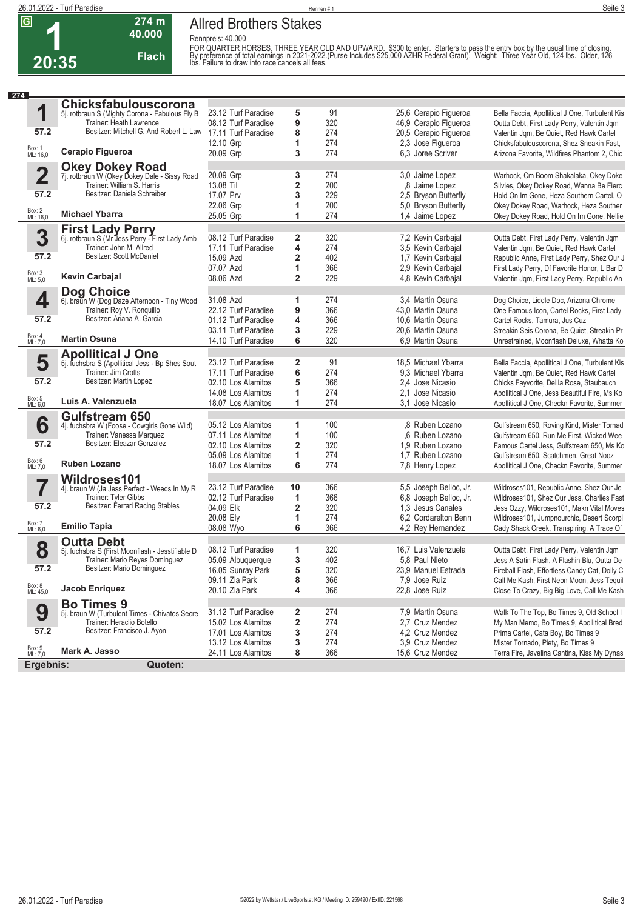

# **Allred Brothers Stakes Rennpreis: 40.000**

**40.000 Flach**

**274 m**

FOR QUARTER HORSES, THREE YEAR OLD AND UPWARD. \$300 to enter. Starters to pass the entry box by the usual time of closing.<br>By preference of total earnings in 2021-2022.(Purse Includes \$25,000 AZHR Federal Grant). Weight

| 274                     |                                                                                    |                        |                |            |                                           |                                                |
|-------------------------|------------------------------------------------------------------------------------|------------------------|----------------|------------|-------------------------------------------|------------------------------------------------|
|                         | Chicksfabulouscorona                                                               |                        |                |            |                                           |                                                |
| 1                       | 5j. rotbraun S (Mighty Corona - Fabulous Fly B                                     | 23.12 Turf Paradise    | 5              | 91         | 25,6 Cerapio Figueroa                     | Bella Faccia, Apollitical J One, Turbulent Kis |
|                         | Trainer: Heath Lawrence                                                            | 08.12 Turf Paradise    | 9              | 320        | 46,9 Cerapio Figueroa                     | Outta Debt, First Lady Perry, Valentin Jqm     |
| 57.2                    | Besitzer: Mitchell G. And Robert L. Law 17.11 Turf Paradise                        |                        | 8              | 274        | 20,5 Cerapio Figueroa                     | Valentin Jqm, Be Quiet, Red Hawk Cartel        |
|                         |                                                                                    | 12.10 Grp              | 1              | 274        | 2,3 Jose Figueroa                         | Chicksfabulouscorona, Shez Sneakin Fast,       |
| Box: 1<br>ML: 16,0      | Cerapio Figueroa                                                                   | 20.09 Grp              | 3              | 274        | 6,3 Joree Scriver                         | Arizona Favorite, Wildfires Phantom 2, Chic    |
|                         | Okey Dokey Road<br>7j. rotbraun W (Okey Dokey Dale - Sissy Road                    |                        |                |            |                                           |                                                |
| $\overline{\mathbf{2}}$ |                                                                                    | 20.09 Grp              | 3              | 274        | 3,0 Jaime Lopez                           | Warhock, Cm Boom Shakalaka, Okey Doke          |
|                         | Trainer: William S. Harris                                                         | 13.08 Til              | 2              | 200        | 8 Jaime Lopez                             | Silvies, Okey Dokey Road, Wanna Be Fierc       |
| 57.2                    | Besitzer: Daniela Schreiber                                                        | 17.07 Prv              | 3              | 229        | 2,5 Bryson Butterfly                      | Hold On Im Gone, Heza Southern Cartel, O       |
|                         |                                                                                    | 22.06 Grp              | 1              | 200        | 5,0 Bryson Butterfly                      | Okey Dokey Road, Warhock, Heza Souther         |
| Box: 2<br>ML: 16,0      | <b>Michael Ybarra</b>                                                              | 25.05 Grp              | 1              | 274        | 1,4 Jaime Lopez                           | Okey Dokey Road, Hold On Im Gone, Nellie       |
|                         | First Lady Perry<br>6j. rotbraun S (Mr Jess Perry - First Lady Amb                 |                        |                |            |                                           |                                                |
| 3                       |                                                                                    | 08.12 Turf Paradise    | 2              | 320        | 7,2 Kevin Carbajal                        | Outta Debt, First Lady Perry, Valentin Jqm     |
|                         | Trainer: John M. Allred                                                            | 17.11 Turf Paradise    | 4              | 274        | 3,5 Kevin Carbajal                        | Valentin Jqm, Be Quiet, Red Hawk Cartel        |
| 57.2                    | Besitzer: Scott McDaniel                                                           | 15.09 Azd              | 2              | 402        | 1,7 Kevin Carbajal                        | Republic Anne, First Lady Perry, Shez Our J    |
|                         |                                                                                    | 07.07 Azd              | 1              | 366        | 2,9 Kevin Carbajal                        | First Lady Perry, Df Favorite Honor, L Bar D   |
| Box: 3<br>ML: 5,0       | <b>Kevin Carbajal</b>                                                              | 08.06 Azd              | $\overline{2}$ | 229        | 4,8 Kevin Carbajal                        | Valentin Jqm, First Lady Perry, Republic An    |
|                         | Dog Choice                                                                         |                        |                |            |                                           |                                                |
| 4                       | 6j. braun W (Dog Daze Afternoon - Tiny Wood                                        | 31.08 Azd              | 1              | 274        | 3.4 Martin Osuna                          | Dog Choice, Liddle Doc, Arizona Chrome         |
|                         | Trainer: Roy V. Ronquillo                                                          | 22.12 Turf Paradise    | 9              | 366        | 43,0 Martin Osuna                         | One Famous Icon, Cartel Rocks, First Lady      |
| 57.2                    | Besitzer: Ariana A. Garcia                                                         | 01.12 Turf Paradise    | 4              | 366        | 10.6 Martin Osuna                         | Cartel Rocks, Tamura, Jus Cuz                  |
|                         |                                                                                    | 03.11 Turf Paradise    | 3              | 229        | 20.6 Martin Osuna                         | Streakin Seis Corona, Be Quiet, Streakin Pr    |
| Box: 4<br>ML: 7,0       | <b>Martin Osuna</b>                                                                | 14.10 Turf Paradise    | 6              | 320        | 6.9 Martin Osuna                          | Unrestrained, Moonflash Deluxe, Whatta Ko      |
|                         | <b>Apollitical J One</b>                                                           |                        |                |            |                                           |                                                |
| 5                       | 5j. fuchsbra S (Apollitical Jess - Bp Shes Sout                                    | 23.12 Turf Paradise    | 2              | 91         | 18,5 Michael Ybarra                       | Bella Faccia, Apollitical J One, Turbulent Kis |
|                         | Trainer: Jim Crotts                                                                | 17.11 Turf Paradise    | 6              | 274        | 9.3 Michael Ybarra                        | Valentin Jqm, Be Quiet, Red Hawk Cartel        |
| 57.2                    | Besitzer: Martin Lopez                                                             | 02.10 Los Alamitos     | 5              | 366        | 2,4 Jose Nicasio                          | Chicks Fayvorite, Delila Rose, Staubauch       |
|                         |                                                                                    | 14.08 Los Alamitos     | 1              | 274        | 2.1 Jose Nicasio                          | Apollitical J One, Jess Beautiful Fire, Ms Ko  |
| Box: 5<br>ML: 6,0       | Luis A. Valenzuela                                                                 | 18.07 Los Alamitos     | 1              | 274        | 3.1 Jose Nicasio                          | Apollitical J One, Checkn Favorite, Summer     |
|                         | <b>Gulfstream 650</b>                                                              |                        |                |            |                                           |                                                |
| 6                       | 4j. fuchsbra W (Foose - Cowgirls Gone Wild)                                        | 05.12 Los Alamitos     | 1              | 100        | ,8 Ruben Lozano                           | Gulfstream 650, Roving Kind, Mister Tornad     |
|                         | Trainer: Vanessa Marquez<br>Besitzer: Eleazar Gonzalez                             | 07.11 Los Alamitos     | 1              | 100        | .6 Ruben Lozano                           | Gulfstream 650, Run Me First, Wicked Wee       |
| 57.2                    |                                                                                    | 02.10 Los Alamitos     | 2              | 320        | 1.9 Ruben Lozano                          | Famous Cartel Jess, Gulfstream 650, Ms Ko      |
|                         |                                                                                    | 05.09 Los Alamitos     | 1              | 274        | 1,7 Ruben Lozano                          | Gulfstream 650, Scatchmen, Great Nooz          |
| Box: 6<br>ML: 7,0       | <b>Ruben Lozano</b>                                                                | 18.07 Los Alamitos     | 6              | 274        | 7,8 Henry Lopez                           | Apollitical J One, Checkn Favorite, Summer     |
|                         | Wildroses101                                                                       |                        |                |            |                                           |                                                |
|                         | 4j. braun W (Ja Jess Perfect - Weeds In My R                                       | 23.12 Turf Paradise    | 10             | 366        | 5,5 Joseph Belloc, Jr.                    | Wildroses101, Republic Anne, Shez Our Je       |
|                         | Trainer: Tyler Gibbs                                                               | 02.12 Turf Paradise    | 1              | 366        | 6,8 Joseph Belloc, Jr.                    | Wildroses101, Shez Our Jess, Charlies Fast     |
| 57.2                    | Besitzer: Ferrari Racing Stables                                                   | 04.09 Elk              | 2              | 320        | 1.3 Jesus Canales                         | Jess Ozzy, Wildroses101, Makn Vital Moves      |
| Box: 7                  | <b>Emilio Tapia</b>                                                                | 20.08 Ely<br>08.08 Wyo | 1<br>6         | 274<br>366 | 6.2 Cordarelton Benn<br>4,2 Rey Hernandez | Wildroses101, Jumpnourchic, Desert Scorpi      |
| ML: 6,0                 |                                                                                    |                        |                |            |                                           | Cady Shack Creek, Transpiring, A Trace Of      |
| 8                       | <b>Outta Debt</b>                                                                  | 08.12 Turf Paradise    | 1              | 320        | 16,7 Luis Valenzuela                      | Outta Debt, First Lady Perry, Valentin Jqm     |
|                         | 5j. fuchsbra S (First Moonflash - Jesstifiable D<br>Trainer: Mario Reyes Dominguez | 05.09 Albuquerque      | 3              | 402        | 5,8 Paul Nieto                            | Jess A Satin Flash, A Flashin Blu, Outta De    |
| 57.2                    | Besitzer: Mario Dominguez                                                          | 16.05 Sunray Park      | 5              | 320        | 23,9 Manuel Estrada                       | Fireball Flash, Effortless Candy Cat, Dolly C  |
|                         |                                                                                    | 09.11 Zia Park         | 8              | 366        | 7,9 Jose Ruiz                             | Call Me Kash, First Neon Moon, Jess Tequil     |
| Box: 8<br>ML: 45,0      | Jacob Enriquez                                                                     | 20.10 Zia Park         | 4              | 366        | 22,8 Jose Ruiz                            | Close To Crazy, Big Big Love, Call Me Kash     |
|                         | <b>Bo Times 9</b>                                                                  |                        |                |            |                                           |                                                |
| 9                       | 5j. braun W (Turbulent Times - Chivatos Secre                                      | 31.12 Turf Paradise    | $\mathbf 2$    | 274        | 7,9 Martin Osuna                          | Walk To The Top, Bo Times 9, Old School I      |
|                         | Trainer: Heraclio Botello                                                          | 15.02 Los Alamitos     | 2              | 274        | 2,7 Cruz Mendez                           | My Man Memo, Bo Times 9, Apollitical Bred      |
| 57.2                    | Besitzer: Francisco J. Ayon                                                        | 17.01 Los Alamitos     | 3              | 274        | 4,2 Cruz Mendez                           | Prima Cartel, Cata Boy, Bo Times 9             |
|                         |                                                                                    | 13.12 Los Alamitos     | 3              | 274        | 3.9 Cruz Mendez                           | Mister Tornado, Piety, Bo Times 9              |
| Box: 9<br>ML: 7,0       | Mark A. Jasso                                                                      | 24.11 Los Alamitos     | 8              | 366        | 15,6 Cruz Mendez                          | Terra Fire, Javelina Cantina, Kiss My Dynas    |
| Ergebnis:               | Quoten:                                                                            |                        |                |            |                                           |                                                |
|                         |                                                                                    |                        |                |            |                                           |                                                |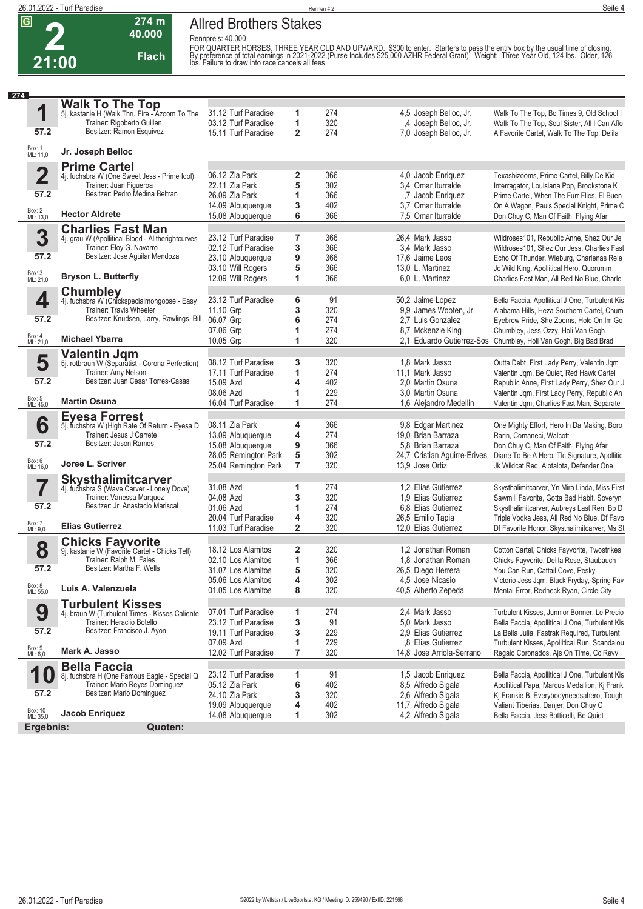

**2 21:00**

## **Allred Brothers Stakes Rennpreis: 40.000**

**40.000 Flach**

**274 m**

FOR QUARTER HORSES, THREE YEAR OLD AND UPWARD. \$300 to enter. Starters to pass the entry box by the usual time of closing.<br>By preference of total earnings in 2021-2022.(Purse Includes \$25,000 AZHR Federal Grant). Weight

| 274                     |                                                                           |                      |                         |     |                              |                                                                 |
|-------------------------|---------------------------------------------------------------------------|----------------------|-------------------------|-----|------------------------------|-----------------------------------------------------------------|
|                         | <b>Walk To The Top</b>                                                    |                      |                         |     |                              |                                                                 |
| 1                       | 5j. kastanie H (Walk Thru Fire - Azoom To The                             | 31.12 Turf Paradise  | 1                       | 274 | 4,5 Joseph Belloc, Jr.       | Walk To The Top, Bo Times 9, Old School I                       |
|                         | Trainer: Rigoberto Guillen                                                | 03.12 Turf Paradise  | 1                       | 320 | ,4 Joseph Belloc, Jr.        | Walk To The Top, Soul Sister, All I Can Affo                    |
| 57.2                    | Besitzer: Ramon Esquivez                                                  | 15.11 Turf Paradise  | $\overline{2}$          | 274 | 7,0 Joseph Belloc, Jr.       | A Favorite Cartel, Walk To The Top, Delila                      |
| Box: 1<br>ML: 11,0      | Jr. Joseph Belloc                                                         |                      |                         |     |                              |                                                                 |
|                         | <b>Prime Cartel</b>                                                       |                      |                         |     |                              |                                                                 |
| $\overline{\mathbf{2}}$ | 4j. fuchsbra W (One Sweet Jess - Prime Idol)                              | 06.12 Zia Park       | 2                       | 366 | 4,0 Jacob Enriquez           | Texasbizooms, Prime Cartel, Billy De Kid                        |
|                         | Trainer: Juan Figueroa                                                    | 22.11 Zia Park       | 5                       | 302 | 3,4 Omar Iturralde           | Interragator, Louisiana Pop, Brookstone K                       |
| 57.2                    | Besitzer: Pedro Medina Beltran                                            | 26.09 Zia Park       | 1                       | 366 | ,7 Jacob Enriquez            | Prime Cartel, When The Furr Flies, El Buen                      |
|                         |                                                                           | 14.09 Albuquerque    | 3                       | 402 | 3.7 Omar Iturralde           | On A Wagon, Pauls Special Knight, Prime C                       |
| Box: 2<br>ML: 13,0      | <b>Hector Aldrete</b>                                                     | 15.08 Albuquerque    | 6                       | 366 | 7,5 Omar Iturralde           | Don Chuy C, Man Of Faith, Flying Afar                           |
|                         | <b>Charlies Fast Man</b>                                                  |                      |                         |     |                              |                                                                 |
| 3                       | 4j. grau W (Apollitical Blood - Alltherightcurves                         | 23.12 Turf Paradise  | 7                       | 366 | 26.4 Mark Jasso              | Wildroses101, Republic Anne, Shez Our Je                        |
|                         | Trainer: Eloy G. Navarro                                                  | 02.12 Turf Paradise  | 3                       | 366 | 3,4 Mark Jasso               | Wildroses101, Shez Our Jess, Charlies Fast                      |
| 57.2                    | Besitzer: Jose Aguilar Mendoza                                            | 23.10 Albuquerque    | 9                       | 366 | 17,6 Jaime Leos              | Echo Of Thunder, Wieburg, Charlenas Rele                        |
|                         |                                                                           | 03.10 Will Rogers    | 5                       | 366 | 13,0 L. Martinez             | Jc Wild King, Apollitical Hero, Quorumm                         |
| Box: 3<br>ML: 21,0      | <b>Bryson L. Butterfly</b>                                                | 12.09 Will Rogers    | 1                       | 366 | 6,0 L. Martinez              | Charlies Fast Man, All Red No Blue, Charle                      |
|                         | <b>Chumbley</b>                                                           |                      |                         |     |                              |                                                                 |
| 4                       | 4j. fuchsbra W (Chickspecialmongoose - Easy                               | 23.12 Turf Paradise  | 6                       | 91  | 50,2 Jaime Lopez             | Bella Faccia, Apollitical J One, Turbulent Kis                  |
|                         | Trainer: Travis Wheeler                                                   | 11.10 Grp            | 3                       | 320 | 9,9 James Wooten, Jr.        | Alabama Hills, Heza Southern Cartel, Chum                       |
| 57.2                    | Besitzer: Knudsen, Larry, Rawlings, Bill                                  | 06.07 Grp            | 6                       | 274 | 2.7 Luis Gonzalez            | Eyebrow Pride, She Zooms, Hold On Im Go                         |
|                         |                                                                           | 07.06 Grp            | 1                       | 274 | 8.7 Mckenzie King            | Chumbley, Jess Ozzy, Holi Van Gogh                              |
| Box: 4<br>ML: 21,0      | <b>Michael Ybarra</b>                                                     | 10.05 Grp            | 1                       | 320 |                              | 2,1 Eduardo Gutierrez-Sos Chumbley, Holi Van Gogh, Big Bad Brad |
|                         | <b>Valentin Jgm</b>                                                       |                      |                         |     |                              |                                                                 |
| 5                       | 5j. rotbraun W (Separatist - Corona Perfection)                           | 08.12 Turf Paradise  | 3                       | 320 | 1,8 Mark Jasso               | Outta Debt, First Lady Perry, Valentin Jqm                      |
|                         | Trainer: Amy Nelson                                                       | 17.11 Turf Paradise  | 1                       | 274 | 11,1 Mark Jasso              | Valentin Jqm, Be Quiet, Red Hawk Cartel                         |
| 57.2                    | Besitzer: Juan Cesar Torres-Casas                                         | 15.09 Azd            | 4                       | 402 | 2.0 Martin Osuna             | Republic Anne, First Lady Perry, Shez Our J                     |
|                         |                                                                           | 08.06 Azd            | 1                       | 229 | 3.0 Martin Osuna             | Valentin Jqm, First Lady Perry, Republic An                     |
| Box: 5<br>ML: 45,0      | <b>Martin Osuna</b>                                                       | 16.04 Turf Paradise  | 1                       | 274 | 1,6 Alejandro Medellin       | Valentin Jqm, Charlies Fast Man, Separate                       |
|                         | <b>Eyesa Forrest</b>                                                      |                      |                         |     |                              |                                                                 |
| 6                       | 5j. fuchsbra W (High Rate Of Return - Eyesa D                             | 08.11 Zia Park       | 4                       | 366 | 9,8 Edgar Martinez           | One Mighty Effort, Hero In Da Making, Boro                      |
|                         | Trainer: Jesus J Carrete                                                  | 13.09 Albuquerque    | 4                       | 274 | 19,0 Brian Barraza           | Rarin, Comaneci, Walcott                                        |
| 57.2                    | Besitzer: Jason Ramos                                                     | 15.08 Albuquerque    | 9                       | 366 | 5.8 Brian Barraza            | Don Chuy C, Man Of Faith, Flying Afar                           |
|                         |                                                                           | 28.05 Remington Park | 5                       | 302 | 24,7 Cristian Aguirre-Erives | Diane To Be A Hero, Tlc Signature, Apollitic                    |
| Box: 6<br>ML: 16,0      | Joree L. Scriver                                                          | 25.04 Remington Park | 7                       | 320 | 13,9 Jose Ortiz              | Jk Wildcat Red, Alotalota, Defender One                         |
|                         | <b>Skysthalimitcarver</b>                                                 |                      |                         |     |                              |                                                                 |
| 7                       | 4j. fuchsbra S (Wave Carver - Lonely Dove)                                | 31.08 Azd            | 1                       | 274 | 1,2 Elias Gutierrez          | Skysthalimitcarver, Yn Mira Linda, Miss First                   |
|                         | Trainer: Vanessa Marquez                                                  | 04.08 Azd            | 3                       | 320 | 1,9 Elias Gutierrez          | Sawmill Favorite, Gotta Bad Habit, Soveryn                      |
| 57.2                    | Besitzer: Jr. Anastacio Mariscal                                          | 01.06 Azd            | 1                       | 274 | 6.8 Elias Gutierrez          | Skysthalimitcarver, Aubreys Last Ren, Bp D                      |
|                         |                                                                           | 20.04 Turf Paradise  | 4                       | 320 | 26,5 Emilio Tapia            | Triple Vodka Jess, All Red No Blue, Df Favo                     |
| Box: 7<br>ML: 9,0       | <b>Elias Gutierrez</b>                                                    | 11.03 Turf Paradise  | $\overline{\mathbf{2}}$ | 320 | 12,0 Elias Gutierrez         | Df Favorite Honor, Skysthalimitcarver, Ms St                    |
|                         |                                                                           |                      |                         |     |                              |                                                                 |
| 8                       | <b>Chicks Fayvorite</b><br>9j. kastanie W (Favorite Cartel - Chicks Tell) | 18.12 Los Alamitos   | 2                       | 320 | 1,2 Jonathan Roman           | Cotton Cartel, Chicks Fayvorite, Twostrikes                     |
|                         | Trainer: Ralph M. Fales                                                   | 02.10 Los Alamitos   | 1                       | 366 | 1.8 Jonathan Roman           | Chicks Fayvorite, Delila Rose, Staubauch                        |
| 57.2                    | Besitzer: Martha F. Wells                                                 | 31.07 Los Alamitos   | 5                       | 320 | 26,5 Diego Herrera           | You Can Run, Cattail Cove, Pesky                                |
|                         |                                                                           | 05.06 Los Alamitos   | 4                       | 302 | 4,5 Jose Nicasio             | Victorio Jess Jqm, Black Fryday, Spring Fav                     |
| Box: 8<br>ML: 55,0      | Luis A. Valenzuela                                                        | 01.05 Los Alamitos   | 8                       | 320 | 40,5 Alberto Zepeda          | Mental Error, Redneck Ryan, Circle City                         |
|                         | <b>Turbulent Kisses</b>                                                   |                      |                         |     |                              |                                                                 |
| 9                       | 4j. braun W (Turbulent Times - Kisses Caliente                            | 07.01 Turf Paradise  | 1                       | 274 | 2.4 Mark Jasso               | Turbulent Kisses, Junnior Bonner, Le Precio                     |
|                         | Trainer: Heraclio Botello                                                 | 23.12 Turf Paradise  | 3                       | 91  | 5.0 Mark Jasso               | Bella Faccia, Apollitical J One, Turbulent Kis                  |
| 57.2                    | Besitzer: Francisco J. Ayon                                               | 19.11 Turf Paradise  | 3                       | 229 | 2,9 Elias Gutierrez          | La Bella Julia, Fastrak Required, Turbulent                     |
|                         |                                                                           | 07.09 Azd            | 1                       | 229 | .8 Elias Gutierrez           | Turbulent Kisses, Apollitical Run, Scandalou                    |
| Box: 9<br>ML: 6,0       | Mark A. Jasso                                                             | 12.02 Turf Paradise  | 7                       | 320 | 14.8 Jose Arriola-Serrano    | Regalo Coronados, Ais On Time, Cc Revv                          |
|                         | <b>Bella Faccia</b>                                                       |                      |                         |     |                              |                                                                 |
| 1                       | 8j. fuchsbra H (One Famous Eagle - Special Q                              | 23.12 Turf Paradise  | 1                       | 91  | 1,5 Jacob Enriquez           | Bella Faccia, Apollitical J One, Turbulent Kis                  |
|                         | Trainer: Mario Reyes Dominguez                                            | 05.12 Zia Park       | 6                       | 402 | 8,5 Alfredo Sigala           | Apollitical Papa, Marcus Medallion, Kj Frank                    |
| 57.2                    | Besitzer: Mario Dominguez                                                 | 24.10 Zia Park       | 3                       | 320 | 2,6 Alfredo Sigala           | Kj Frankie B, Everybodyneedsahero, Tough                        |
|                         |                                                                           | 19.09 Albuquerque    | 4                       | 402 | 11,7 Alfredo Sigala          | Valiant Tiberias, Danjer, Don Chuy C                            |
| Box: 10<br>ML: 35,0     | Jacob Enriquez                                                            | 14.08 Albuquerque    | 1                       | 302 | 4,2 Alfredo Sigala           | Bella Faccia, Jess Botticelli, Be Quiet                         |
| Ergebnis:               | Quoten:                                                                   |                      |                         |     |                              |                                                                 |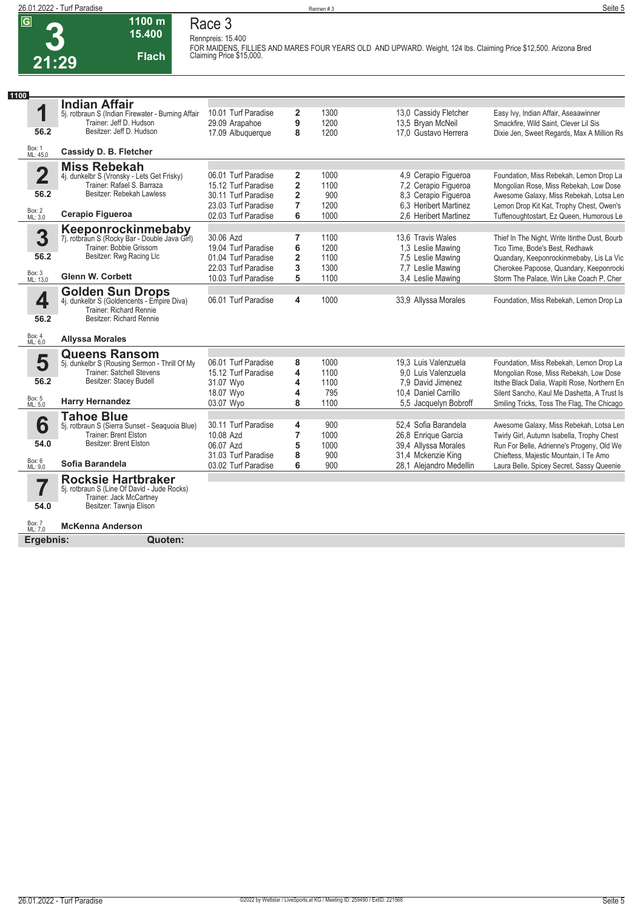**3 21:29**

#### **1100 m 15.400 Flach Race 3**

**Rennpreis: 15.400**

**FOR MAIDENS, FILLIES AND MARES FOUR YEARS OLD AND UPWARD. Weight, 124 lbs. Claiming Price \$12,500. Arizona Bred Claiming Price \$15,000.** 

| 1100                    |                                                                          |                     |                         |      |                         |                                               |
|-------------------------|--------------------------------------------------------------------------|---------------------|-------------------------|------|-------------------------|-----------------------------------------------|
|                         | <b>Indian Affair</b>                                                     |                     |                         |      |                         |                                               |
| 1                       | 5j. rotbraun S (Indian Firewater - Burning Affair                        | 10.01 Turf Paradise | 2                       | 1300 | 13,0 Cassidy Fletcher   | Easy Ivy, Indian Affair, Aseaawinner          |
|                         | Trainer: Jeff D. Hudson                                                  | 29.09 Arapahoe      | 9                       | 1200 | 13,5 Bryan McNeil       | Smackfire, Wild Saint, Clever Lil Sis         |
| 56.2                    | Besitzer: Jeff D. Hudson                                                 | 17.09 Albuquerque   | 8                       | 1200 | 17,0 Gustavo Herrera    | Dixie Jen, Sweet Regards, Max A Million Rs    |
| Box: 1<br>ML: 45,0      | Cassidy D. B. Fletcher                                                   |                     |                         |      |                         |                                               |
|                         | <b>Miss Rebekah</b>                                                      |                     |                         |      |                         |                                               |
| $\overline{\mathbf{2}}$ | 4j. dunkelbr S (Vronsky - Lets Get Frisky)<br>Trainer: Rafael S. Barraza | 06.01 Turf Paradise | 2                       | 1000 | 4,9 Cerapio Figueroa    | Foundation, Miss Rebekah, Lemon Drop La       |
|                         | Besitzer: Rebekah Lawless                                                | 15.12 Turf Paradise | $\overline{2}$          | 1100 | 7,2 Cerapio Figueroa    | Mongolian Rose, Miss Rebekah, Low Dose        |
| 56.2                    |                                                                          | 30.11 Turf Paradise | $\overline{\mathbf{2}}$ | 900  | 8,3 Cerapio Figueroa    | Awesome Galaxy, Miss Rebekah, Lotsa Len       |
|                         |                                                                          | 23.03 Turf Paradise | 7                       | 1200 | 6.3 Heribert Martinez   | Lemon Drop Kit Kat, Trophy Chest, Owen's      |
| Box: 2<br>ML: 3,0       | Cerapio Figueroa                                                         | 02.03 Turf Paradise | 6                       | 1000 | 2.6 Heribert Martinez   | Tuffenoughtostart, Ez Queen, Humorous Le      |
|                         | Keeponrockinmebaby                                                       |                     |                         |      |                         |                                               |
| 3                       | 7j. rotbraun S (Rocky Bar - Double Java Girl)                            | 30.06 Azd           | 7                       | 1100 | 13,6 Travis Wales       | Thief In The Night, Write Itinthe Dust, Bourb |
|                         | Trainer: Bobbie Grissom                                                  | 19.04 Turf Paradise | 6                       | 1200 | 1,3 Leslie Mawing       | Tico Time, Bode's Best, Redhawk               |
| 56.2                    | Besitzer: Rwg Racing Llc                                                 | 01.04 Turf Paradise | $\overline{2}$          | 1100 | 7,5 Leslie Mawing       | Quandary, Keeponrockinmebaby, Lis La Vic      |
|                         |                                                                          | 22.03 Turf Paradise | 3                       | 1300 | 7,7 Leslie Mawing       | Cherokee Papoose, Quandary, Keeponrocki       |
| Box: 3<br>ML: 13,0      | <b>Glenn W. Corbett</b>                                                  | 10.03 Turf Paradise | 5                       | 1100 | 3.4 Leslie Mawing       | Storm The Palace, Win Like Coach P, Cher      |
|                         | <b>Golden Sun Drops</b>                                                  |                     |                         |      |                         |                                               |
| 4                       | 4j. dunkelbr S (Goldencents - Empire Diva)                               | 06.01 Turf Paradise | 4                       | 1000 | 33,9 Allyssa Morales    | Foundation, Miss Rebekah, Lemon Drop La       |
|                         | Trainer: Richard Rennie                                                  |                     |                         |      |                         |                                               |
| 56.2                    | Besitzer: Richard Rennie                                                 |                     |                         |      |                         |                                               |
| Box: 4                  | <b>Allyssa Morales</b>                                                   |                     |                         |      |                         |                                               |
| ML: 6,0                 |                                                                          |                     |                         |      |                         |                                               |
|                         | <b>Queens Ransom</b>                                                     |                     |                         |      |                         |                                               |
| 5                       | 5j. dunkelbr S (Rousing Sermon - Thrill Of My                            | 06.01 Turf Paradise | 8                       | 1000 | 19.3 Luis Valenzuela    | Foundation, Miss Rebekah, Lemon Drop La       |
|                         | <b>Trainer: Satchell Stevens</b>                                         | 15.12 Turf Paradise | 4                       | 1100 | 9.0 Luis Valenzuela     | Mongolian Rose, Miss Rebekah, Low Dose        |
| 56.2                    | Besitzer: Stacey Budell                                                  | 31.07 Wyo           | 4                       | 1100 | 7,9 David Jimenez       | Itsthe Black Dalia, Wapiti Rose, Northern En  |
|                         | <b>Harry Hernandez</b>                                                   | 18.07 Wyo           | 4                       | 795  | 10.4 Daniel Carrillo    | Silent Sancho, Kaul Me Dashetta, A Trust Is   |
| Box: 5<br>ML: 5,0       |                                                                          | 03.07 Wyo           | 8                       | 1100 | 5,5 Jacquelyn Bobroff   | Smiling Tricks, Toss The Flag, The Chicago    |
|                         | <b>Tahoe Blue</b>                                                        |                     |                         |      |                         |                                               |
| 6                       | 5j. rotbraun S (Sierra Sunset - Seaquoia Blue)                           | 30.11 Turf Paradise | 4                       | 900  | 52.4 Sofia Barandela    | Awesome Galaxy, Miss Rebekah, Lotsa Len       |
|                         | Trainer: Brent Elston                                                    | 10.08 Azd           | 7                       | 1000 | 26,8 Enrique Garcia     | Twirly Girl, Autumn Isabella, Trophy Chest    |
| 54.0                    | Besitzer: Brent Elston                                                   | 06.07 Azd           | 5                       | 1000 | 39,4 Allyssa Morales    | Run For Belle, Adrienne's Progeny, Old We     |
|                         |                                                                          | 31.03 Turf Paradise | 8                       | 900  | 31,4 Mckenzie King      | Chieftess, Majestic Mountain, I Te Amo        |
| Box: 6<br>ML: 9,0       | Sofia Barandela                                                          | 03.02 Turf Paradise | 6                       | 900  | 28,1 Alejandro Medellin | Laura Belle, Spicey Secret, Sassy Queenie     |
|                         | <b>Rocksie Hartbraker</b>                                                |                     |                         |      |                         |                                               |
| $\overline{\mathbf{7}}$ | 5j. rotbraun S (Line Of David - Jude Rocks)                              |                     |                         |      |                         |                                               |
| 54.0                    | Trainer: Jack McCartney<br>Besitzer: Tawnja Elison                       |                     |                         |      |                         |                                               |
|                         |                                                                          |                     |                         |      |                         |                                               |
| Box: 7<br>ML: 7,0       | <b>McKenna Anderson</b>                                                  |                     |                         |      |                         |                                               |
| Ergebnis:               | Quoten:                                                                  |                     |                         |      |                         |                                               |
|                         |                                                                          |                     |                         |      |                         |                                               |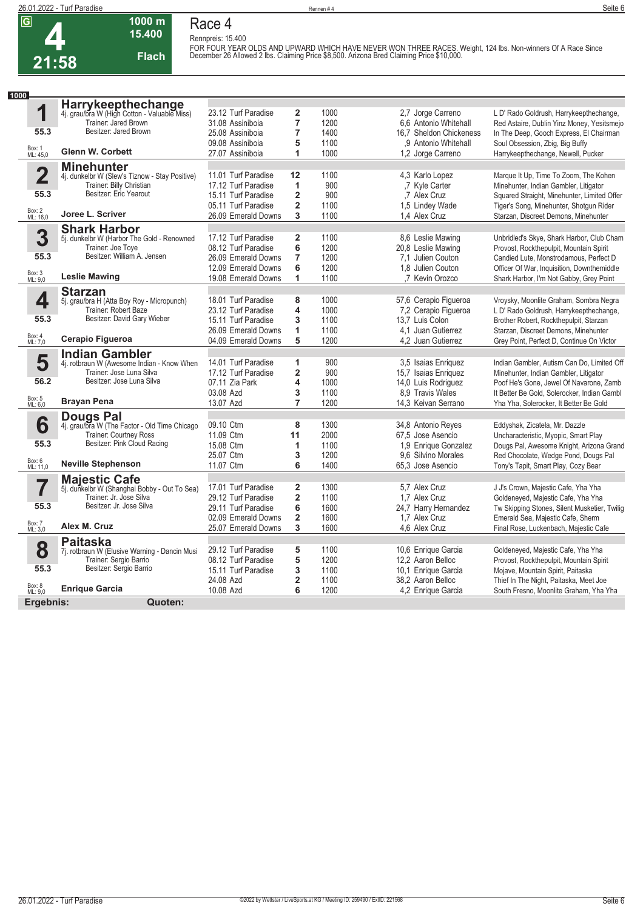**4 21:58**

### **1000 m Race 4 Rennpreis: 15.400**

**Flach**

**15.400** 

**FOR FOUR YEAR OLDS AND UPWARD WHICH HAVE NEVER WON THREE RACES. Weight, 124 lbs. Non-winners Of A Race Since December 26 Allowed 2 lbs. Claiming Price \$8,500. Arizona Bred Claiming Price \$10,000.** 

| 1000                    |                                                                      |                     |                         |      |                         |                                              |
|-------------------------|----------------------------------------------------------------------|---------------------|-------------------------|------|-------------------------|----------------------------------------------|
|                         | Harrykeepthechange<br>4j. grau/bra W (High Cotton - Valuable Miss)   |                     |                         |      |                         |                                              |
| 1                       |                                                                      | 23.12 Turf Paradise | $\overline{\mathbf{2}}$ | 1000 | 2,7 Jorge Carreno       | L D' Rado Goldrush, Harrykeepthechange,      |
|                         | Trainer: Jared Brown                                                 | 31.08 Assiniboia    | $\overline{7}$          | 1200 | 6.6 Antonio Whitehall   | Red Astaire, Dublin Yinz Money, Yesitsmejo   |
| 55.3                    | Besitzer: Jared Brown                                                | 25.08 Assiniboia    | $\overline{7}$          | 1400 | 16.7 Sheldon Chickeness | In The Deep, Gooch Express, El Chairman      |
|                         |                                                                      | 09.08 Assiniboia    | 5                       | 1100 | .9 Antonio Whitehall    | Soul Obsession, Zbig, Big Buffy              |
| Box: 1<br>ML: 45,0      | <b>Glenn W. Corbett</b>                                              | 27.07 Assiniboia    | 1                       | 1000 | 1,2 Jorge Carreno       | Harrykeepthechange, Newell, Pucker           |
|                         | <b>Minehunter</b>                                                    |                     |                         |      |                         |                                              |
| $\overline{\mathbf{2}}$ | 4j. dunkelbr W (Slew's Tiznow - Stay Positive)                       | 11.01 Turf Paradise | 12                      | 1100 | 4,3 Karlo Lopez         | Marque It Up, Time To Zoom, The Kohen        |
|                         | Trainer: Billy Christian                                             | 17.12 Turf Paradise | 1                       | 900  | ,7 Kyle Carter          | Minehunter, Indian Gambler, Litigator        |
| 55.3                    | Besitzer: Eric Yearout                                               | 15.11 Turf Paradise | $\overline{\mathbf{2}}$ | 900  | .7 Alex Cruz            | Squared Straight, Minehunter, Limited Offer  |
|                         |                                                                      | 05.11 Turf Paradise | $\overline{\mathbf{2}}$ | 1100 | 1.5 Lindey Wade         | Tiger's Song, Minehunter, Shotgun Rider      |
| Box: 2<br>ML: 16,0      | Joree L. Scriver                                                     | 26.09 Emerald Downs | 3                       | 1100 | 1.4 Alex Cruz           | Starzan, Discreet Demons, Minehunter         |
|                         | <b>Shark Harbor</b>                                                  |                     |                         |      |                         |                                              |
| 3                       | 5j. dunkelbr W (Harbor The Gold - Renowned                           | 17.12 Turf Paradise | $\overline{\mathbf{2}}$ | 1100 | 8.6 Leslie Mawing       | Unbridled's Skye, Shark Harbor, Club Cham    |
|                         | Trainer: Joe Toye                                                    | 08.12 Turf Paradise | 6                       | 1200 | 20,8 Leslie Mawing      | Provost, Rockthepulpit, Mountain Spirit      |
| 55.3                    | Besitzer: William A. Jensen                                          | 26.09 Emerald Downs | $\overline{7}$          | 1200 | 7.1 Julien Couton       | Candied Lute, Monstrodamous, Perfect D       |
|                         |                                                                      | 12.09 Emerald Downs | 6                       | 1200 | 1.8 Julien Couton       | Officer Of War, Inquisition, Downthemiddle   |
| Box: 3<br>ML: 9,0       | <b>Leslie Mawing</b>                                                 | 19.08 Emerald Downs | 1                       | 1100 | .7 Kevin Orozco         | Shark Harbor, I'm Not Gabby, Grey Point      |
|                         |                                                                      |                     |                         |      |                         |                                              |
| 4                       | <b>Starzan</b><br>5j. grau/bra H (Atta Boy Roy - Micropunch)         | 18.01 Turf Paradise | 8                       | 1000 | 57,6 Cerapio Figueroa   | Vroysky, Moonlite Graham, Sombra Negra       |
|                         | Trainer: Robert Baze                                                 | 23.12 Turf Paradise | 4                       | 1000 | 7,2 Cerapio Figueroa    | L D' Rado Goldrush, Harrykeepthechange,      |
| 55.3                    | Besitzer: David Gary Wieber                                          | 15.11 Turf Paradise | 3                       | 1100 | 13.7 Luis Colon         | Brother Robert, Rockthepulpit, Starzan       |
|                         |                                                                      | 26.09 Emerald Downs | 1                       | 1100 | 4.1 Juan Gutierrez      | Starzan, Discreet Demons, Minehunter         |
| Box: 4<br>ML: 7,0       | Cerapio Figueroa                                                     | 04.09 Emerald Downs | 5                       | 1200 | 4.2 Juan Gutierrez      | Grey Point, Perfect D, Continue On Victor    |
|                         |                                                                      |                     |                         |      |                         |                                              |
| 5                       | <b>Indian Gambler</b><br>4j. rotbraun W (Awesome Indian - Know When  | 14.01 Turf Paradise | 1                       | 900  | 3,5 Isaias Enriquez     | Indian Gambler, Autism Can Do, Limited Off   |
|                         | Trainer: Jose Luna Silva                                             | 17.12 Turf Paradise | $\overline{\mathbf{2}}$ | 900  | 15,7 Isaias Enriquez    | Minehunter, Indian Gambler, Litigator        |
| 56.2                    | Besitzer: Jose Luna Silva                                            | 07.11 Zia Park      | 4                       | 1000 | 14,0 Luis Rodriguez     | Poof He's Gone, Jewel Of Navarone, Zamb      |
|                         |                                                                      | 03.08 Azd           | 3                       | 1100 | 8.9 Travis Wales        | It Better Be Gold, Solerocker, Indian Gambl  |
| Box: 5<br>ML: 6,0       | <b>Brayan Pena</b>                                                   | 13.07 Azd           | $\overline{7}$          | 1200 | 14,3 Keivan Serrano     | Yha Yha, Solerocker, It Better Be Gold       |
|                         |                                                                      |                     |                         |      |                         |                                              |
| 6                       | <b>Dougs Pal</b><br>4j. grau/bra W (The Factor - Old Time Chicago    | 09.10 Ctm           | 8                       | 1300 | 34,8 Antonio Reyes      | Eddyshak, Zicatela, Mr. Dazzle               |
|                         | Trainer: Courtney Ross                                               | 11.09 Ctm           | 11                      | 2000 | 67.5 Jose Asencio       | Uncharacteristic, Myopic, Smart Play         |
| 55.3                    | Besitzer: Pink Cloud Racing                                          | 15.08 Ctm           | 1                       | 1100 | 1,9 Enrique Gonzalez    | Dougs Pal, Awesome Knight, Arizona Grand     |
|                         |                                                                      | 25.07 Ctm           | 3                       | 1200 | 9.6 Silvino Morales     | Red Chocolate, Wedge Pond, Dougs Pal         |
| Box: 6<br>ML: 11,0      | <b>Neville Stephenson</b>                                            | 11.07 Ctm           | 6                       | 1400 | 65.3 Jose Asencio       | Tony's Tapit, Smart Play, Cozy Bear          |
|                         |                                                                      |                     |                         |      |                         |                                              |
|                         | <b>Majestic Cafe</b><br>5j. dunkelbr W (Shanghai Bobby - Out To Sea) | 17.01 Turf Paradise | $\overline{\mathbf{2}}$ | 1300 | 5.7 Alex Cruz           | J J's Crown, Majestic Cafe, Yha Yha          |
|                         | Trainer: Jr. Jose Silva                                              | 29.12 Turf Paradise | $\overline{\mathbf{2}}$ | 1100 | 1.7 Alex Cruz           | Goldeneyed, Majestic Cafe, Yha Yha           |
| 55.3                    | Besitzer: Jr. Jose Silva                                             | 29.11 Turf Paradise | 6                       | 1600 | 24,7 Harry Hernandez    | Tw Skipping Stones, Silent Musketier, Twilig |
|                         |                                                                      | 02.09 Emerald Downs | $\overline{\mathbf{2}}$ | 1600 | 1.7 Alex Cruz           | Emerald Sea, Majestic Cafe, Sherm            |
| Box: 7<br>ML: 3,0       | Alex M. Cruz                                                         | 25.07 Emerald Downs | 3                       | 1600 | 4.6 Alex Cruz           | Final Rose, Luckenbach, Majestic Cafe        |
|                         |                                                                      |                     |                         |      |                         |                                              |
| 8                       | <b>Paitaska</b><br>7j. rotbraun W (Elusive Warning - Dancin Musi     | 29.12 Turf Paradise | 5                       | 1100 | 10,6 Enrique Garcia     | Goldeneyed, Majestic Cafe, Yha Yha           |
|                         | Trainer: Sergio Barrio                                               | 08.12 Turf Paradise | 5                       | 1200 | 12.2 Aaron Belloc       | Provost, Rockthepulpit, Mountain Spirit      |
| 55.3                    | Besitzer: Sergio Barrio                                              | 15.11 Turf Paradise | 3                       | 1100 | 10,1 Enrique Garcia     | Mojave, Mountain Spirit, Paitaska            |
|                         |                                                                      | 24.08 Azd           | $\overline{\mathbf{2}}$ | 1100 | 38,2 Aaron Belloc       | Thief In The Night, Paitaska, Meet Joe       |
| Box: 8<br>ML: 9,0       | <b>Enrique Garcia</b>                                                | 10.08 Azd           | 6                       | 1200 | 4,2 Enrique Garcia      | South Fresno, Moonlite Graham, Yha Yha       |
| Ergebnis:               | Quoten:                                                              |                     |                         |      |                         |                                              |
|                         |                                                                      |                     |                         |      |                         |                                              |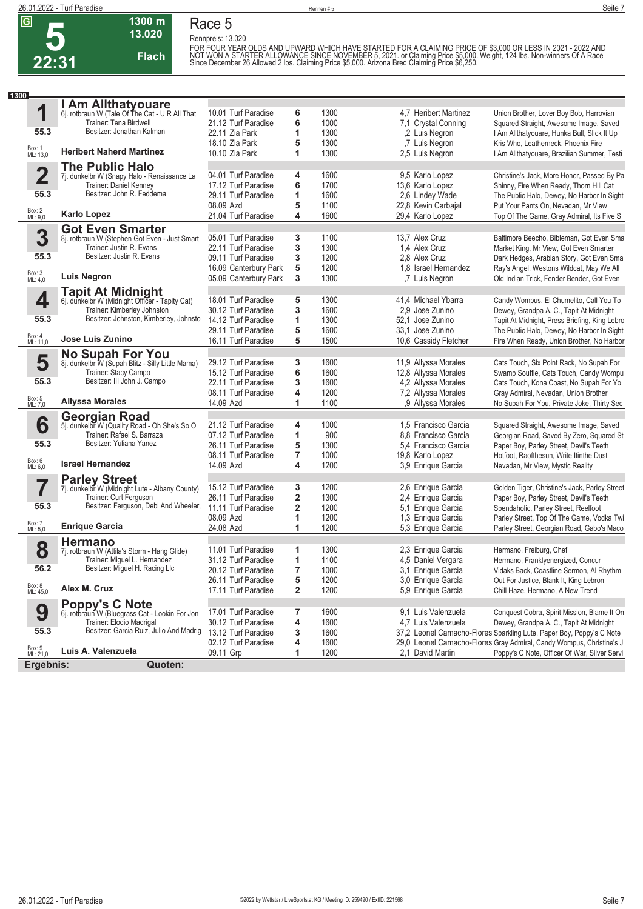

**Race 5**

**Rennpreis: 13.020**

**13.020** 

**1300 m**

**Flach**

FOR FOUR YEAR OLDS AND UPWARD WHICH HAVE STARTED FOR A CLAIMING PRICE OF \$3,000 OR LESS IN 2021 - 2022 AND<br>NOT WON A STARTER ALLOWANCE SINCE NOVEMBER 5, 2021. or Claiming Price \$5,000. Weight, 124 lbs. Non-winners Of A Rac

| 1300                    |                                                                      |                       |                         |      |                       |                                                                      |
|-------------------------|----------------------------------------------------------------------|-----------------------|-------------------------|------|-----------------------|----------------------------------------------------------------------|
|                         | I Am Allthatyouare                                                   |                       |                         |      |                       |                                                                      |
| 1                       | 6j. rotbraun W (Tale Of The Cat - U R All That                       | 10.01 Turf Paradise   | 6                       | 1300 | 4.7 Heribert Martinez | Union Brother, Lover Boy Bob, Harrovian                              |
|                         | Trainer: Tena Birdwell                                               | 21.12 Turf Paradise   | 6                       | 1000 | 7,1 Crystal Conning   | Squared Straight, Awesome Image, Saved                               |
| 55.3                    | Besitzer: Jonathan Kalman                                            | 22.11 Zia Park        | 1                       | 1300 | ,2 Luis Negron        | I Am Allthatyouare, Hunka Bull, Slick It Up                          |
|                         |                                                                      | 18.10 Zia Park        | 5                       | 1300 | ,7 Luis Negron        | Kris Who, Leatherneck, Phoenix Fire                                  |
| Box: 1<br>ML: 13,0      | <b>Heribert Naherd Martinez</b>                                      | 10.10 Zia Park        | 1                       | 1300 | 2,5 Luis Negron       | I Am Allthatyouare, Brazilian Summer, Testi                          |
|                         | <b>The Public Halo</b>                                               |                       |                         |      |                       |                                                                      |
| $\overline{\mathbf{2}}$ | 7j. dunkelbr W (Snapy Halo - Renaissance La                          | 04.01 Turf Paradise   | 4                       | 1600 | 9,5 Karlo Lopez       | Christine's Jack, More Honor, Passed By Pa                           |
|                         | Trainer: Daniel Kenney                                               | 17.12 Turf Paradise   | 6                       | 1700 | 13,6 Karlo Lopez      | Shinny, Fire When Ready, Thorn Hill Cat                              |
| 55.3                    | Besitzer: John R. Feddema                                            | 29.11 Turf Paradise   | 1                       | 1600 | 2,6 Lindey Wade       | The Public Halo, Dewey, No Harbor In Sight                           |
|                         |                                                                      | 08.09 Azd             | 5                       | 1100 | 22,8 Kevin Carbajal   | Put Your Pants On, Nevadan, Mr View                                  |
| Box: 2<br>ML: 9,0       | <b>Karlo Lopez</b>                                                   | 21.04 Turf Paradise   | 4                       | 1600 | 29,4 Karlo Lopez      | Top Of The Game, Gray Admiral, Its Five S                            |
|                         | <b>Got Even Smarter</b>                                              |                       |                         |      |                       |                                                                      |
| 3                       | 8j. rotbraun W (Stephen Got Even - Just Smart                        | 05.01 Turf Paradise   | 3                       | 1100 | 13,7 Alex Cruz        | Baltimore Beecho, Bibleman, Got Even Sma                             |
|                         | Trainer: Justin R. Evans                                             | 22.11 Turf Paradise   | 3                       | 1300 | 1.4 Alex Cruz         | Market King, Mr View, Got Even Smarter                               |
| 55.3                    | Besitzer: Justin R. Evans                                            | 09.11 Turf Paradise   | 3                       | 1200 | 2.8 Alex Cruz         | Dark Hedges, Arabian Story, Got Even Sma                             |
|                         |                                                                      | 16.09 Canterbury Park | 5                       | 1200 | 1.8 Israel Hernandez  | Ray's Angel, Westons Wildcat, May We All                             |
| Box: 3<br>ML: 4,0       | <b>Luis Negron</b>                                                   | 05.09 Canterbury Park | 3                       | 1300 | ,7 Luis Negron        | Old Indian Trick, Fender Bender, Got Even                            |
|                         | <b>Tapit At Midnight</b>                                             |                       |                         |      |                       |                                                                      |
| 4                       | 6j. dunkelbr W (Midnight Officer - Tapity Cat)                       | 18.01 Turf Paradise   | 5                       | 1300 | 41,4 Michael Ybarra   | Candy Wompus, El Chumelito, Call You To                              |
|                         | Trainer: Kimberley Johnston                                          | 30.12 Turf Paradise   | 3                       | 1600 | 2.9 Jose Zunino       | Dewey, Grandpa A. C., Tapit At Midnight                              |
| 55.3                    | Besitzer: Johnston, Kimberley, Johnsto                               | 14.12 Turf Paradise   | 1                       | 1300 | 52,1 Jose Zunino      | Tapit At Midnight, Press Briefing, King Lebro                        |
|                         |                                                                      | 29.11 Turf Paradise   | 5                       | 1600 | 33.1 Jose Zunino      | The Public Halo, Dewey, No Harbor In Sight                           |
| Box: 4<br>ML: 11,0      | Jose Luis Zunino                                                     | 16.11 Turf Paradise   | 5                       | 1500 | 10,6 Cassidy Fletcher | Fire When Ready, Union Brother, No Harbor                            |
|                         |                                                                      |                       |                         |      |                       |                                                                      |
| 5                       | No Supah For You<br>8j. dunkelbr W (Supah Blitz - Silly Little Mama) | 29.12 Turf Paradise   | 3                       | 1600 | 11,9 Allyssa Morales  | Cats Touch, Six Point Rack, No Supah For                             |
|                         | Trainer: Stacy Campo                                                 | 15.12 Turf Paradise   | 6                       | 1600 | 12,8 Allyssa Morales  | Swamp Souffle, Cats Touch, Candy Wompu                               |
| 55.3                    | Besitzer: III John J. Campo                                          | 22.11 Turf Paradise   | 3                       | 1600 | 4,2 Allyssa Morales   | Cats Touch, Kona Coast, No Supah For Yo                              |
|                         |                                                                      | 08.11 Turf Paradise   | 4                       | 1200 | 7,2 Allyssa Morales   | Gray Admiral, Nevadan, Union Brother                                 |
| Box: 5<br>ML: 7,0       | <b>Allyssa Morales</b>                                               | 14.09 Azd             | 1                       | 1100 | .9 Allyssa Morales    | No Supah For You, Private Joke, Thirty Sec                           |
|                         |                                                                      |                       |                         |      |                       |                                                                      |
| 6                       | <b>Georgian Road</b><br>5j. dunkelbr W (Quality Road - Oh She's So O | 21.12 Turf Paradise   | 4                       | 1000 | 1,5 Francisco Garcia  | Squared Straight, Awesome Image, Saved                               |
|                         | Trainer: Rafael S. Barraza                                           | 07.12 Turf Paradise   | 1                       | 900  | 8.8 Francisco Garcia  | Georgian Road, Saved By Zero, Squared St                             |
| 55.3                    | Besitzer: Yuliana Yanez                                              | 26.11 Turf Paradise   | 5                       | 1300 | 5.4 Francisco Garcia  | Paper Boy, Parley Street, Devil's Teeth                              |
|                         |                                                                      | 08.11 Turf Paradise   | 7                       | 1000 | 19,8 Karlo Lopez      | Hotfoot, Raofthesun, Write Itinthe Dust                              |
| Box: 6<br>ML: 6,0       | <b>Israel Hernandez</b>                                              | 14.09 Azd             | 4                       | 1200 | 3,9 Enrique Garcia    | Nevadan, Mr View, Mystic Reality                                     |
|                         | <b>Parley Street</b>                                                 |                       |                         |      |                       |                                                                      |
|                         | 7j. dunkelbr W (Midnight Lute - Albany County)                       | 15.12 Turf Paradise   | 3                       | 1200 | 2,6 Enrique Garcia    | Golden Tiger, Christine's Jack, Parley Street                        |
|                         | Trainer: Curt Ferguson                                               | 26.11 Turf Paradise   | 2                       | 1300 | 2,4 Enrique Garcia    | Paper Boy, Parley Street, Devil's Teeth                              |
| 55.3                    | Besitzer: Ferguson, Debi And Wheeler, 11.11 Turf Paradise            |                       | $\overline{\mathbf{2}}$ | 1200 | 5,1 Enrique Garcia    | Spendaholic, Parley Street, Reelfoot                                 |
|                         |                                                                      | 08.09 Azd             | 1                       | 1200 | 1,3 Enrique Garcia    | Parley Street, Top Of The Game, Vodka Twi                            |
| Box: 7<br>ML: 5,0       | <b>Enrique Garcia</b>                                                | 24.08 Azd             | 1                       | 1200 | 5,3 Enrique Garcia    | Parley Street, Georgian Road, Gabo's Maco                            |
|                         | <b>Hermano</b>                                                       |                       |                         |      |                       |                                                                      |
| 8                       | 7j. rotbraun W (Attila's Storm - Hang Glide)                         | 11.01 Turf Paradise   | 1                       | 1300 | 2,3 Enrique Garcia    | Hermano, Freiburg, Chef                                              |
|                         | Trainer: Miquel L. Hernandez                                         | 31.12 Turf Paradise   | 1                       | 1100 | 4,5 Daniel Vergara    | Hermano, Franklyenergized, Concur                                    |
| 56.2                    | Besitzer: Miguel H. Racing Llc                                       | 20.12 Turf Paradise   | 7                       | 1000 | 3.1 Enrique Garcia    | Vidaks Back, Coastline Sermon, Al Rhythm                             |
|                         |                                                                      | 26.11 Turf Paradise   | 5                       | 1200 | 3,0 Enrique Garcia    | Out For Justice, Blank It, King Lebron                               |
| Box: 8<br>ML: 45,0      | Alex M. Cruz                                                         | 17.11 Turf Paradise   | 2                       | 1200 | 5,9 Enrique Garcia    | Chill Haze, Hermano, A New Trend                                     |
|                         | Poppy's C Note<br>6j. rotbraun W (Bluegrass Cat - Lookin For Jon     |                       |                         |      |                       |                                                                      |
| 9                       |                                                                      | 17.01 Turf Paradise   | 7                       | 1600 | 9,1 Luis Valenzuela   | Conquest Cobra, Spirit Mission, Blame It On                          |
|                         | Trainer: Elodio Madrigal                                             | 30.12 Turf Paradise   | 4                       | 1600 | 4,7 Luis Valenzuela   | Dewey, Grandpa A. C., Tapit At Midnight                              |
| 55.3                    | Besitzer: Garcia Ruiz, Julio And Madrig                              | 13.12 Turf Paradise   | 3                       | 1600 |                       | 37,2 Leonel Camacho-Flores Sparkling Lute, Paper Boy, Poppy's C Note |
|                         |                                                                      | 02.12 Turf Paradise   | 4                       | 1600 |                       | 29.0 Leonel Camacho-Flores Gray Admiral, Candy Wompus, Christine's J |
| Box: 9<br>ML: 21,0      | Luis A. Valenzuela                                                   | 09.11 Grp             | 1                       | 1200 | 2,1 David Martin      | Poppy's C Note, Officer Of War, Silver Servi                         |
| Ergebnis:               | Quoten:                                                              |                       |                         |      |                       |                                                                      |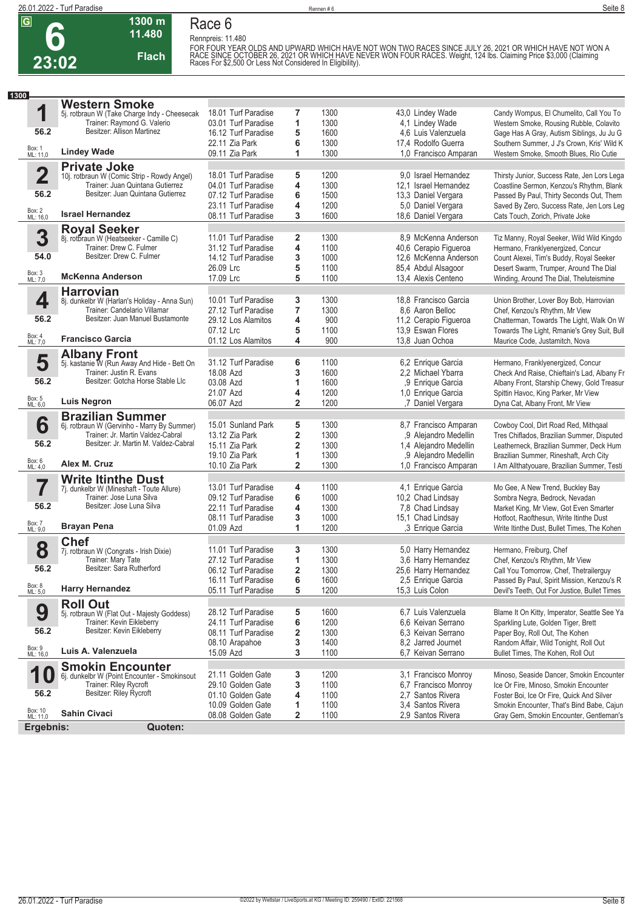

#### **1300 m 11.480 Flach Race 6**

**Rennpreis: 11.480** FOR FOUR YEAR OLDS AND UPWARD WHICH HAVE NOT WON TWO RACES SINCE JULY 26, 2021 OR WHICH HAVE NOT WON A<br>RACE SINCE OCTOBER 26, 2021 OR WHICH HAVE NEVER WON FOUR RACES. Weight, 124 lbs. Claiming Price \$3,000 (Claiming<br>Races

| 1300                    |                                                                              |                                  |                         |              |                                              |                                                                                      |
|-------------------------|------------------------------------------------------------------------------|----------------------------------|-------------------------|--------------|----------------------------------------------|--------------------------------------------------------------------------------------|
|                         | <b>Western Smoke</b>                                                         |                                  |                         |              |                                              |                                                                                      |
| 1                       | 5j. rotbraun W (Take Charge Indy - Cheesecak                                 | 18.01 Turf Paradise              | 7                       | 1300         | 43,0 Lindey Wade                             | Candy Wompus, El Chumelito, Call You To                                              |
|                         | Trainer: Raymond G. Valerio<br>Besitzer: Allison Martinez                    | 03.01 Turf Paradise              | 1                       | 1300         | 4,1 Lindey Wade                              | Western Smoke, Rousing Rubble, Colavito                                              |
| 56.2                    |                                                                              | 16.12 Turf Paradise              | 5                       | 1600         | 4,6 Luis Valenzuela                          | Gage Has A Gray, Autism Siblings, Ju Ju G                                            |
| Box: 1<br>ML: 11,0      | <b>Lindey Wade</b>                                                           | 22.11 Zia Park<br>09.11 Zia Park | 6<br>1                  | 1300<br>1300 | 17,4 Rodolfo Guerra<br>1,0 Francisco Amparan | Southern Summer, J J's Crown, Kris' Wild K<br>Western Smoke, Smooth Blues, Rio Cutie |
|                         |                                                                              |                                  |                         |              |                                              |                                                                                      |
| $\overline{\mathbf{2}}$ | <b>Private Joke</b><br>10j. rotbraun W (Comic Strip - Rowdy Angel)           | 18.01 Turf Paradise              | 5                       | 1200         | 9.0 Israel Hernandez                         | Thirsty Junior, Success Rate, Jen Lors Lega                                          |
|                         | Trainer: Juan Quintana Gutierrez                                             | 04.01 Turf Paradise              | 4                       | 1300         | 12,1 Israel Hernandez                        | Coastline Sermon, Kenzou's Rhythm, Blank                                             |
| 56.2                    | Besitzer: Juan Quintana Gutierrez                                            | 07.12 Turf Paradise              | 6                       | 1500         | 13,3 Daniel Vergara                          | Passed By Paul, Thirty Seconds Out, Them                                             |
|                         |                                                                              | 23.11 Turf Paradise              | 4                       | 1200         | 5,0 Daniel Vergara                           | Saved By Zero, Success Rate, Jen Lors Leg                                            |
| Box: 2<br>ML: 16,0      | <b>Israel Hernandez</b>                                                      | 08.11 Turf Paradise              | 3                       | 1600         | 18,6 Daniel Vergara                          | Cats Touch, Zorich, Private Joke                                                     |
|                         | <b>Royal Seeker</b>                                                          |                                  |                         |              |                                              |                                                                                      |
| 3                       | 8j. rotbraun W (Heatseeker - Camille C)                                      | 11.01 Turf Paradise              | 2                       | 1300         | 8.9 McKenna Anderson                         | Tiz Manny, Royal Seeker, Wild Wild Kingdo                                            |
|                         | Trainer: Drew C. Fulmer                                                      | 31.12 Turf Paradise              | 4                       | 1100         | 40,6 Cerapio Figueroa                        | Hermano, Franklyenergized, Concur                                                    |
| 54.0                    | Besitzer: Drew C. Fulmer                                                     | 14.12 Turf Paradise              | 3                       | 1000         | 12,6 McKenna Anderson                        | Count Alexei, Tim's Buddy, Royal Seeker                                              |
|                         |                                                                              | 26.09 Lrc                        | 5                       | 1100         | 85,4 Abdul Alsagoor                          | Desert Swarm, Trumper, Around The Dial                                               |
| Box: 3<br>ML: 7,0       | <b>McKenna Anderson</b>                                                      | 17.09 Lrc                        | 5                       | 1100         | 13,4 Alexis Centeno                          | Winding, Around The Dial, Theluteismine                                              |
|                         | <b>Harrovian</b>                                                             | 10.01 Turf Paradise              |                         | 1300         | 18,8 Francisco Garcia                        |                                                                                      |
| 4                       | 8j. dunkelbr W (Harlan's Holiday - Anna Sun)<br>Trainer: Candelario Villamar | 27.12 Turf Paradise              | 3<br>7                  | 1300         | 8.6 Aaron Belloc                             | Union Brother, Lover Boy Bob, Harrovian<br>Chef, Kenzou's Rhythm, Mr View            |
| 56.2                    | Besitzer: Juan Manuel Bustamonte                                             | 29.12 Los Alamitos               | 4                       | 900          | 11,2 Cerapio Figueroa                        | Chatterman, Towards The Light, Walk On W                                             |
|                         |                                                                              | 07.12 Lrc                        | 5                       | 1100         | 13,9 Eswan Flores                            | Towards The Light, Rmanie's Grey Suit, Bull                                          |
| Box: 4<br>ML: 7,0       | <b>Francisco Garcia</b>                                                      | 01.12 Los Alamitos               | 4                       | 900          | 13,8 Juan Ochoa                              | Maurice Code, Justamitch, Nova                                                       |
|                         | <b>Albany Front</b>                                                          |                                  |                         |              |                                              |                                                                                      |
| 5                       | 5j. kastanie W (Run Away And Hide - Bett On                                  | 31.12 Turf Paradise              | 6                       | 1100         | 6,2 Enrique Garcia                           | Hermano, Franklyenergized, Concur                                                    |
|                         | Trainer: Justin R. Evans                                                     | 18.08 Azd                        | 3                       | 1600         | 2.2 Michael Ybarra                           | Check And Raise, Chieftain's Lad, Albany Fr                                          |
| 56.2                    | Besitzer: Gotcha Horse Stable Llc                                            | 03.08 Azd                        | 1                       | 1600         | .9 Enrique Garcia                            | Albany Front, Starship Chewy, Gold Treasur                                           |
|                         |                                                                              | 21.07 Azd                        | 4                       | 1200         | 1,0 Enrique Garcia                           | Spittin Havoc, King Parker, Mr View                                                  |
| Box: 5<br>ML: 6,0       | <b>Luis Negron</b>                                                           | 06.07 Azd                        | $\overline{2}$          | 1200         | ,7 Daniel Vergara                            | Dyna Cat, Albany Front, Mr View                                                      |
|                         | <b>Brazilian Summer</b>                                                      |                                  |                         |              |                                              |                                                                                      |
| 6                       | 6j. rotbraun W (Gervinho - Marry By Summer)                                  | 15.01 Sunland Park               | 5                       | 1300         | 8,7 Francisco Amparan                        | Cowboy Cool, Dirt Road Red, Mithgaal                                                 |
|                         | Trainer: Jr. Martin Valdez-Cabral                                            | 13.12 Zia Park                   | $\overline{\mathbf{2}}$ | 1300         | .9 Alejandro Medellin                        | Tres Chiflados, Brazilian Summer, Disputed                                           |
| 56.2                    | Besitzer: Jr. Martin M. Valdez-Cabral                                        | 15.11 Zia Park                   | 2                       | 1300         | 1,4 Alejandro Medellin                       | Leatherneck, Brazilian Summer, Deck Hum                                              |
| Box: 6<br>ML: 4,0       | Alex M. Cruz                                                                 | 19.10 Zia Park                   | 1                       | 1300         | ,9 Alejandro Medellin                        | Brazilian Summer, Rineshaft, Arch City                                               |
|                         |                                                                              | 10.10 Zia Park                   | $\overline{\mathbf{2}}$ | 1300         | 1.0 Francisco Amparan                        | I Am Allthatyouare, Brazilian Summer, Testi                                          |
| 7                       | <b>Write Itinthe Dust</b>                                                    | 13.01 Turf Paradise              | 4                       | 1100         | 4,1 Enrique Garcia                           | Mo Gee, A New Trend, Buckley Bay                                                     |
|                         | 7j. dunkelbr W (Mineshaft - Toute Allure)<br>Trainer: Jose Luna Silva        | 09.12 Turf Paradise              | 6                       | 1000         | 10,2 Chad Lindsay                            | Sombra Negra, Bedrock, Nevadan                                                       |
| 56.2                    | Besitzer: Jose Luna Silva                                                    | 22.11 Turf Paradise              | 4                       | 1300         | 7,8 Chad Lindsay                             | Market King, Mr View, Got Even Smarter                                               |
|                         |                                                                              | 08.11 Turf Paradise              | 3                       | 1000         | 15,1 Chad Lindsay                            | Hotfoot, Raofthesun, Write Itinthe Dust                                              |
| Box: 7<br>ML: 9,0       | <b>Brayan Pena</b>                                                           | 01.09 Azd                        | 1                       | 1200         | ,3 Enrique Garcia                            | Write Itinthe Dust, Bullet Times, The Kohen                                          |
|                         | <b>Chef</b>                                                                  |                                  |                         |              |                                              |                                                                                      |
| 8                       | 7j. rotbraun W (Congrats - Irish Dixie)                                      | 11.01 Turf Paradise              | 3                       | 1300         | 5,0 Harry Hernandez                          | Hermano, Freiburg, Chef                                                              |
|                         | Trainer: Mary Tate                                                           | 27.12 Turf Paradise              | 1                       | 1300         | 3.6 Harry Hernandez                          | Chef, Kenzou's Rhythm, Mr View                                                       |
| 56.2                    | Besitzer: Sara Rutherford                                                    | 06.12 Turf Paradise              | 2                       | 1300         | 25,6 Harry Hernandez                         | Call You Tomorrow, Chef, Thetrailerguy                                               |
|                         |                                                                              | 16.11 Turf Paradise              | 6                       | 1600         | 2,5 Enrique Garcia                           | Passed By Paul, Spirit Mission, Kenzou's R                                           |
| Box: 8<br>ML: 5,0       | <b>Harry Hernandez</b>                                                       | 05.11 Turf Paradise              | 5                       | 1200         | 15,3 Luis Colon                              | Devil's Teeth, Out For Justice, Bullet Times                                         |
| 9                       | <b>Roll Out</b>                                                              | 28.12 Turf Paradise              |                         | 1600         | 6,7 Luis Valenzuela                          | Blame It On Kitty, Imperator, Seattle See Ya                                         |
|                         | 5j. rotbraun W (Flat Out - Majesty Goddess)<br>Trainer: Kevin Eikleberry     | 24.11 Turf Paradise              | 5<br>6                  | 1200         | 6.6 Keivan Serrano                           | Sparkling Lute, Golden Tiger, Brett                                                  |
| 56.2                    | Besitzer: Kevin Eikleberry                                                   | 08.11 Turf Paradise              | $\mathbf 2$             | 1300         | 6.3 Keivan Serrano                           | Paper Boy, Roll Out, The Kohen                                                       |
|                         |                                                                              | 08.10 Arapahoe                   | 3                       | 1400         | 8.2 Jarred Journet                           | Random Affair, Wild Tonight, Roll Out                                                |
| Box: 9<br>ML: 16,0      | Luis A. Valenzuela                                                           | 15.09 Azd                        | 3                       | 1100         | 6,7 Keivan Serrano                           | Bullet Times, The Kohen, Roll Out                                                    |
|                         | <b>Smokin Encounter</b>                                                      |                                  |                         |              |                                              |                                                                                      |
| 1                       | 6j. dunkelbr W (Point Encounter - Smokinsout                                 | 21.11 Golden Gate                | 3                       | 1200         | 3.1 Francisco Monroy                         | Minoso, Seaside Dancer, Smokin Encounter                                             |
|                         | Trainer: Riley Rycroft                                                       | 29.10 Golden Gate                | 3                       | 1100         | 6.7 Francisco Monroy                         | Ice Or Fire, Minoso, Smokin Encounter                                                |
| 56.2                    | Besitzer: Riley Rycroft                                                      | 01.10 Golden Gate                | 4                       | 1100         | 2.7 Santos Rivera                            | Foster Boi, Ice Or Fire, Quick And Silver                                            |
| Box: 10<br>ML: 11,0     | <b>Sahin Civaci</b>                                                          | 10.09 Golden Gate                | 1                       | 1100         | 3,4 Santos Rivera                            | Smokin Encounter, That's Bind Babe, Cajun                                            |
|                         |                                                                              | 08.08 Golden Gate                | $\mathbf{2}$            | 1100         | 2,9 Santos Rivera                            | Gray Gem, Smokin Encounter, Gentleman's                                              |
| Ergebnis:               | Quoten:                                                                      |                                  |                         |              |                                              |                                                                                      |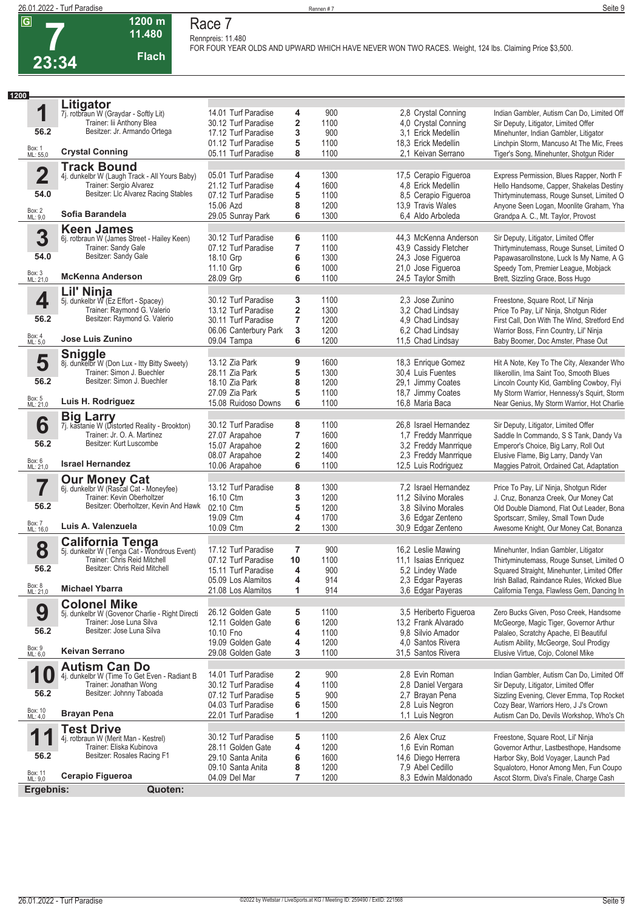

### **1200 m 11.480 Flach Race 7**

**Rennpreis: 11.480 FOR FOUR YEAR OLDS AND UPWARD WHICH HAVE NEVER WON TWO RACES. Weight, 124 lbs. Claiming Price \$3,500.** 

| 1200                    |                                                                              |                                            |                         |              |                                               |                                                                                         |
|-------------------------|------------------------------------------------------------------------------|--------------------------------------------|-------------------------|--------------|-----------------------------------------------|-----------------------------------------------------------------------------------------|
|                         | Litigator                                                                    |                                            |                         |              |                                               |                                                                                         |
| 1                       | 7j. rotbraun W (Graydar - Softly Lit)                                        | 14.01 Turf Paradise                        | 4                       | 900          | 2,8 Crystal Conning                           | Indian Gambler, Autism Can Do, Limited Off                                              |
| 56.2                    | Trainer: lii Anthony Blea<br>Besitzer: Jr. Armando Ortega                    | 30.12 Turf Paradise                        | 2                       | 1100         | 4,0 Crystal Conning                           | Sir Deputy, Litigator, Limited Offer                                                    |
|                         |                                                                              | 17.12 Turf Paradise                        | 3                       | 900          | 3.1 Erick Medellin                            | Minehunter, Indian Gambler, Litigator                                                   |
| Box: 1<br>ML: 55,0      | <b>Crystal Conning</b>                                                       | 01.12 Turf Paradise<br>05.11 Turf Paradise | 5<br>8                  | 1100<br>1100 | 18,3 Erick Medellin<br>2.1 Keivan Serrano     | Linchpin Storm, Mancuso At The Mic, Frees<br>Tiger's Song, Minehunter, Shotgun Rider    |
|                         | <b>Track Bound</b>                                                           |                                            |                         |              |                                               |                                                                                         |
| $\overline{\mathbf{2}}$ | 4j. dunkelbr W (Laugh Track - All Yours Baby)                                | 05.01 Turf Paradise                        | 4                       | 1300         | 17,5 Cerapio Figueroa                         | Express Permission, Blues Rapper, North F                                               |
|                         | Trainer: Sergio Alvarez                                                      | 21.12 Turf Paradise                        | 4                       | 1600         | 4.8 Erick Medellin                            | Hello Handsome, Capper, Shakelas Destiny                                                |
| 54.0                    | Besitzer: LIc Alvarez Racing Stables                                         | 07.12 Turf Paradise                        | 5                       | 1100         | 8.5 Cerapio Figueroa                          | Thirtyminutemass, Rouge Sunset, Limited O                                               |
| Box: 2<br>ML: 9,0       | Sofia Barandela                                                              | 15.06 Azd                                  | 8                       | 1200         | 13.9 Travis Wales                             | Anyone Seen Logan, Moonlite Graham, Yha                                                 |
|                         |                                                                              | 29.05 Sunray Park                          | 6                       | 1300         | 6,4 Aldo Arboleda                             | Grandpa A. C., Mt. Taylor, Provost                                                      |
| 3                       | <b>Keen James</b><br>6j. rotbraun W (James Street - Hailey Keen)             | 30.12 Turf Paradise                        | 6                       | 1100         | 44,3 McKenna Anderson                         | Sir Deputy, Litigator, Limited Offer                                                    |
|                         | Trainer: Sandy Gale                                                          | 07.12 Turf Paradise                        | 7                       | 1100         | 43,9 Cassidy Fletcher                         | Thirtyminutemass, Rouge Sunset, Limited O                                               |
| 54.0                    | Besitzer: Sandy Gale                                                         | 18.10 Grp                                  | 6                       | 1300         | 24,3 Jose Figueroa                            | Papawasarollnstone, Luck Is My Name, A G                                                |
|                         |                                                                              | 11.10 Grp                                  | 6                       | 1000         | 21,0 Jose Figueroa                            | Speedy Tom, Premier League, Mobjack                                                     |
| Box: 3<br>ML: 21,0      | <b>McKenna Anderson</b>                                                      | 28.09 Grp                                  | 6                       | 1100         | 24,5 Taylor Smith                             | Brett, Sizzling Grace, Boss Hugo                                                        |
|                         | Lil' Ninja                                                                   |                                            |                         |              |                                               |                                                                                         |
| 4                       | 5j. dunkelbr W (Ez Effort - Spacey)<br>Trainer: Raymond G. Valerio           | 30.12 Turf Paradise                        | 3                       | 1100         | 2,3 Jose Zunino                               | Freestone, Square Root, Lil' Ninja                                                      |
| 56.2                    | Besitzer: Raymond G. Valerio                                                 | 13.12 Turf Paradise<br>30.11 Turf Paradise | 2<br>7                  | 1300<br>1200 | 3,2 Chad Lindsay<br>4.9 Chad Lindsay          | Price To Pay, Lil' Ninja, Shotgun Rider<br>First Call, Don With The Wind, Stretford End |
|                         |                                                                              | 06.06 Canterbury Park                      | 3                       | 1200         | 6,2 Chad Lindsay                              | Warrior Boss, Finn Country, Lil' Ninja                                                  |
| Box: 4<br>ML: 5,0       | <b>Jose Luis Zunino</b>                                                      | 09.04 Tampa                                | 6                       | 1200         | 11,5 Chad Lindsay                             | Baby Boomer, Doc Amster, Phase Out                                                      |
|                         |                                                                              |                                            |                         |              |                                               |                                                                                         |
| 5                       | Sniggle<br>8j. dunkelbr W (Don Lux - Itty Bitty Sweety)                      | 13.12 Zia Park                             | 9                       | 1600         | 18,3 Enrique Gomez                            | Hit A Note, Key To The City, Alexander Who                                              |
|                         | Trainer: Simon J. Buechler                                                   | 28.11 Zia Park                             | 5                       | 1300         | 30,4 Luis Fuentes                             | Ilikerollin, Ima Saint Too, Smooth Blues                                                |
| 56.2                    | Besitzer: Simon J. Buechler                                                  | 18.10 Zia Park                             | 8                       | 1200         | 29,1 Jimmy Coates                             | Lincoln County Kid, Gambling Cowboy, Flyi                                               |
|                         |                                                                              | 27.09 Zia Park                             | 5                       | 1100         | 18,7 Jimmy Coates                             | My Storm Warrior, Hennessy's Squirt, Storm                                              |
| Box: 5<br>ML: 21,0      | Luis H. Rodriguez                                                            | 15.08 Ruidoso Downs                        | 6                       | 1100         | 16,8 Maria Baca                               | Near Genius, My Storm Warrior, Hot Charlie                                              |
|                         | <b>Big Larry</b>                                                             |                                            |                         |              |                                               |                                                                                         |
| 6                       | 7j. kastanie W (Distorted Reality - Brookton)<br>Trainer: Jr. O. A. Martinez | 30.12 Turf Paradise<br>27.07 Arapahoe      | 8<br>7                  | 1100<br>1600 | 26,8 Israel Hernandez<br>1,7 Freddy Manrrique | Sir Deputy, Litigator, Limited Offer<br>Saddle In Commando, S S Tank, Dandy Va          |
| 56.2                    | Besitzer: Kurt Luscombe                                                      | 15.07 Arapahoe                             | 2                       | 1600         | 3,2 Freddy Manrrique                          | Emperor's Choice, Big Larry, Roll Out                                                   |
|                         |                                                                              | 08.07 Arapahoe                             | 2                       | 1400         | 2,3 Freddy Manrrique                          | Elusive Flame, Big Larry, Dandy Van                                                     |
| Box: 6<br>ML: 21,0      | <b>Israel Hernandez</b>                                                      | 10.06 Arapahoe                             | 6                       | 1100         | 12,5 Luis Rodriguez                           | Maggies Patroit, Ordained Cat, Adaptation                                               |
|                         | <b>Our Money Cat</b> 6j. dunkelbr W (Rascal Cat - Moneyfee)                  |                                            |                         |              |                                               |                                                                                         |
|                         |                                                                              | 13.12 Turf Paradise                        | 8                       | 1300         | 7,2 Israel Hernandez                          | Price To Pay, Lil' Ninja, Shotgun Rider                                                 |
| 56.2                    | Trainer: Kevin Oberholtzer<br>Besitzer: Oberholtzer, Kevin And Hawk          | 16.10 Ctm                                  | 3                       | 1200         | 11,2 Silvino Morales                          | J. Cruz, Bonanza Creek, Our Money Cat                                                   |
|                         |                                                                              | 02.10 Ctm<br>19.09 Ctm                     | 5<br>4                  | 1200<br>1700 | 3.8 Silvino Morales<br>3,6 Edgar Zenteno      | Old Double Diamond, Flat Out Leader, Bona<br>Sportscarr, Smiley, Small Town Dude        |
| Box: 7<br>ML: 16,0      | Luis A. Valenzuela                                                           | 10.09 Ctm                                  | $\overline{\mathbf{2}}$ | 1300         | 30,9 Edgar Zenteno                            | Awesome Knight, Our Money Cat, Bonanza                                                  |
|                         |                                                                              |                                            |                         |              |                                               |                                                                                         |
| 8                       | <b>California Tenga</b><br>5j. dunkelbr W (Tenga Cat - Wondrous Event)       | 17.12 Turf Paradise                        | 7                       | 900          | 16,2 Leslie Mawing                            | Minehunter, Indian Gambler, Litigator                                                   |
|                         | Trainer: Chris Reid Mitchell                                                 | 07.12 Turf Paradise                        | 10                      | 1100         | 11,1 Isaias Enriguez                          | Thirtyminutemass, Rouge Sunset, Limited O                                               |
| 56.2                    | Besitzer: Chris Reid Mitchell                                                | 15.11 Turf Paradise                        | 4                       | 900          | 5,2 Lindey Wade                               | Squared Straight, Minehunter, Limited Offer                                             |
|                         |                                                                              | 05.09 Los Alamitos                         | 4                       | 914          | 2.3 Edgar Payeras                             | Irish Ballad, Raindance Rules, Wicked Blue                                              |
| Box: 8<br>ML: 21,0      | <b>Michael Ybarra</b>                                                        | 21.08 Los Alamitos                         | 1                       | 914          | 3,6 Edgar Payeras                             | California Tenga, Flawless Gem, Dancing In                                              |
|                         | <b>Colonel Mike</b>                                                          |                                            |                         |              |                                               |                                                                                         |
| 9                       | 5j. dunkelbr W (Govenor Charlie - Right Directi<br>Trainer: Jose Luna Silva  | 26.12 Golden Gate<br>12.11 Golden Gate     | 5<br>6                  | 1100<br>1200 | 3,5 Heriberto Figueroa<br>13,2 Frank Alvarado | Zero Bucks Given, Poso Creek, Handsome<br>McGeorge, Magic Tiger, Governor Arthur        |
| 56.2                    | Besitzer: Jose Luna Silva                                                    | 10.10 Fno                                  | 4                       | 1100         | 9.8 Silvio Amador                             | Palaleo, Scratchy Apache, El Beautiful                                                  |
|                         |                                                                              | 19.09 Golden Gate                          | 4                       | 1200         | 4.0 Santos Rivera                             | Autism Ability, McGeorge, Soul Prodigy                                                  |
| Box: 9<br>ML: 6,0       | Keivan Serrano                                                               | 29.08 Golden Gate                          | 3                       | 1100         | 31,5 Santos Rivera                            | Elusive Virtue, Cojo, Colonel Mike                                                      |
|                         | <b>Autism Can Do</b>                                                         |                                            |                         |              |                                               |                                                                                         |
| 1                       | 4j. dunkelbr W (Time To Get Even - Radiant B                                 | 14.01 Turf Paradise                        | 2                       | 900          | 2.8 Evin Roman                                | Indian Gambler, Autism Can Do, Limited Off                                              |
|                         | Trainer: Jonathan Wong                                                       | 30.12 Turf Paradise                        | 4                       | 1100         | 2,8 Daniel Vergara                            | Sir Deputy, Litigator, Limited Offer                                                    |
| 56.2                    | Besitzer: Johnny Taboada                                                     | 07.12 Turf Paradise                        | 5                       | 900          | 2,7 Brayan Pena                               | Sizzling Evening, Clever Emma, Top Rocket                                               |
| Box: 10<br>ML: 4,0      | <b>Brayan Pena</b>                                                           | 04.03 Turf Paradise<br>22.01 Turf Paradise | 6<br>1                  | 1500<br>1200 | 2.8 Luis Negron<br>1,1 Luis Negron            | Cozy Bear, Warriors Hero, J J's Crown<br>Autism Can Do, Devils Workshop, Who's Ch       |
|                         | <b>Test Drive</b>                                                            |                                            |                         |              |                                               |                                                                                         |
| 1                       | 4j. rotbraun W (Merit Man - Kestrel)                                         | 30.12 Turf Paradise                        | 5                       | 1100         | 2.6 Alex Cruz                                 | Freestone, Square Root, Lil' Ninja                                                      |
|                         | Trainer: Eliska Kubinova                                                     | 28.11 Golden Gate                          | 4                       | 1200         | 1.6 Evin Roman                                | Governor Arthur, Lastbesthope, Handsome                                                 |
| 56.2                    | Besitzer: Rosales Racing F1                                                  | 29.10 Santa Anita                          | 6                       | 1600         | 14,6 Diego Herrera                            | Harbor Sky, Bold Voyager, Launch Pad                                                    |
|                         |                                                                              | 09.10 Santa Anita                          | 8                       | 1200         | 7,9 Abel Cedillo                              | Squalotoro, Honor Among Men, Fun Coupo                                                  |
| Box: 11<br>ML: 9,0      | Cerapio Figueroa                                                             | 04.09 Del Mar                              | 7                       | 1200         | 8.3 Edwin Maldonado                           | Ascot Storm, Diva's Finale, Charge Cash                                                 |
| Ergebnis:               | Quoten:                                                                      |                                            |                         |              |                                               |                                                                                         |
|                         |                                                                              |                                            |                         |              |                                               |                                                                                         |